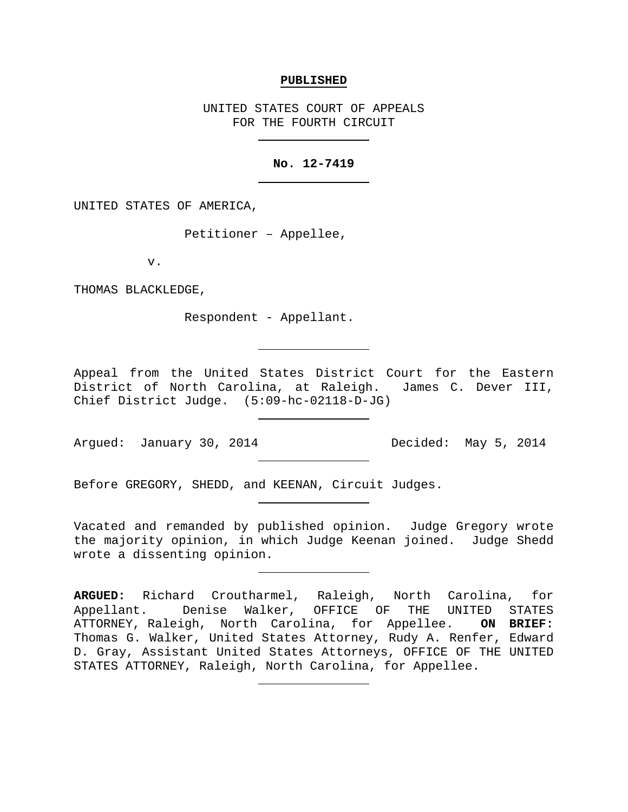#### **PUBLISHED**

UNITED STATES COURT OF APPEALS FOR THE FOURTH CIRCUIT

### **No. 12-7419**

UNITED STATES OF AMERICA,

Petitioner – Appellee,

v.

THOMAS BLACKLEDGE,

Respondent - Appellant.

Appeal from the United States District Court for the Eastern District of North Carolina, at Raleigh. James C. Dever III, Chief District Judge. (5:09-hc-02118-D-JG)

Argued: January 30, 2014 Decided: May 5, 2014

Before GREGORY, SHEDD, and KEENAN, Circuit Judges.

Vacated and remanded by published opinion. Judge Gregory wrote the majority opinion, in which Judge Keenan joined. Judge Shedd wrote a dissenting opinion.

**ARGUED:** Richard Croutharmel, Raleigh, North Carolina, for Appellant. Denise Walker, OFFICE OF THE UNITED STATES ATTORNEY, Raleigh, North Carolina, for Appellee. **ON BRIEF:** Thomas G. Walker, United States Attorney, Rudy A. Renfer, Edward D. Gray, Assistant United States Attorneys, OFFICE OF THE UNITED STATES ATTORNEY, Raleigh, North Carolina, for Appellee.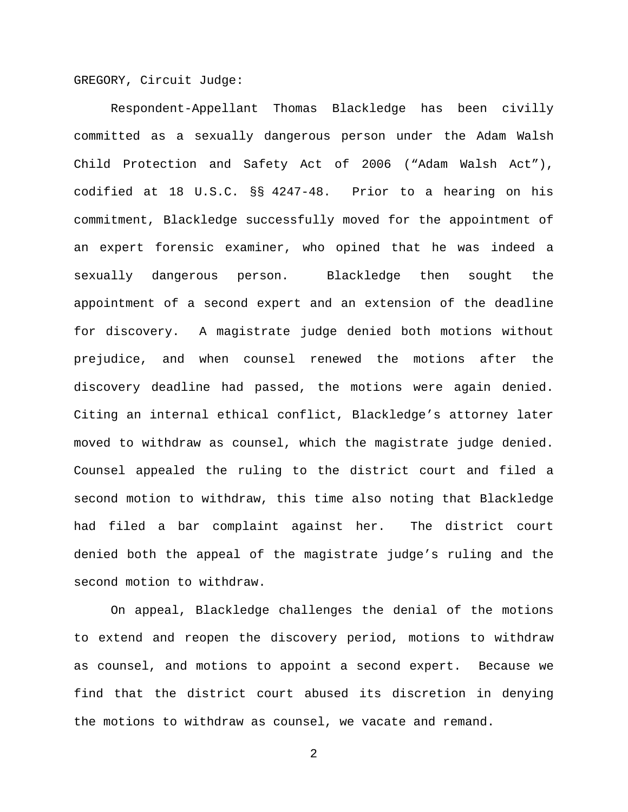GREGORY, Circuit Judge:

Respondent-Appellant Thomas Blackledge has been civilly committed as a sexually dangerous person under the Adam Walsh Child Protection and Safety Act of 2006 ("Adam Walsh Act"), codified at 18 U.S.C. §§ 4247-48. Prior to a hearing on his commitment, Blackledge successfully moved for the appointment of an expert forensic examiner, who opined that he was indeed a sexually dangerous person. Blackledge then sought the appointment of a second expert and an extension of the deadline for discovery. A magistrate judge denied both motions without prejudice, and when counsel renewed the motions after the discovery deadline had passed, the motions were again denied. Citing an internal ethical conflict, Blackledge's attorney later moved to withdraw as counsel, which the magistrate judge denied. Counsel appealed the ruling to the district court and filed a second motion to withdraw, this time also noting that Blackledge had filed a bar complaint against her. The district court denied both the appeal of the magistrate judge's ruling and the second motion to withdraw.

On appeal, Blackledge challenges the denial of the motions to extend and reopen the discovery period, motions to withdraw as counsel, and motions to appoint a second expert. Because we find that the district court abused its discretion in denying the motions to withdraw as counsel, we vacate and remand.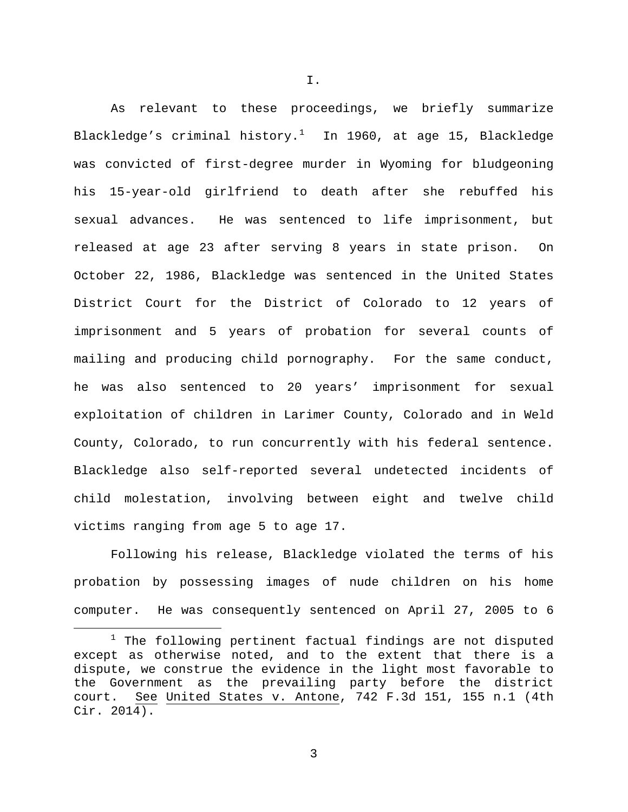As relevant to these proceedings, we briefly summarize Blackledge's criminal history.<sup>[1](#page-2-0)</sup> In 1960, at age 15, Blackledge was convicted of first-degree murder in Wyoming for bludgeoning his 15-year-old girlfriend to death after she rebuffed his sexual advances. He was sentenced to life imprisonment, but released at age 23 after serving 8 years in state prison. On October 22, 1986, Blackledge was sentenced in the United States District Court for the District of Colorado to 12 years of imprisonment and 5 years of probation for several counts of mailing and producing child pornography. For the same conduct, he was also sentenced to 20 years' imprisonment for sexual exploitation of children in Larimer County, Colorado and in Weld County, Colorado, to run concurrently with his federal sentence. Blackledge also self-reported several undetected incidents of child molestation, involving between eight and twelve child victims ranging from age 5 to age 17.

Following his release, Blackledge violated the terms of his probation by possessing images of nude children on his home computer. He was consequently sentenced on April 27, 2005 to 6

I.

<span id="page-2-0"></span> $1$  The following pertinent factual findings are not disputed except as otherwise noted, and to the extent that there is a dispute, we construe the evidence in the light most favorable to the Government as the prevailing party before the district court. See United States v. Antone, 742 F.3d 151, 155 n.1 (4th Cir. 2014).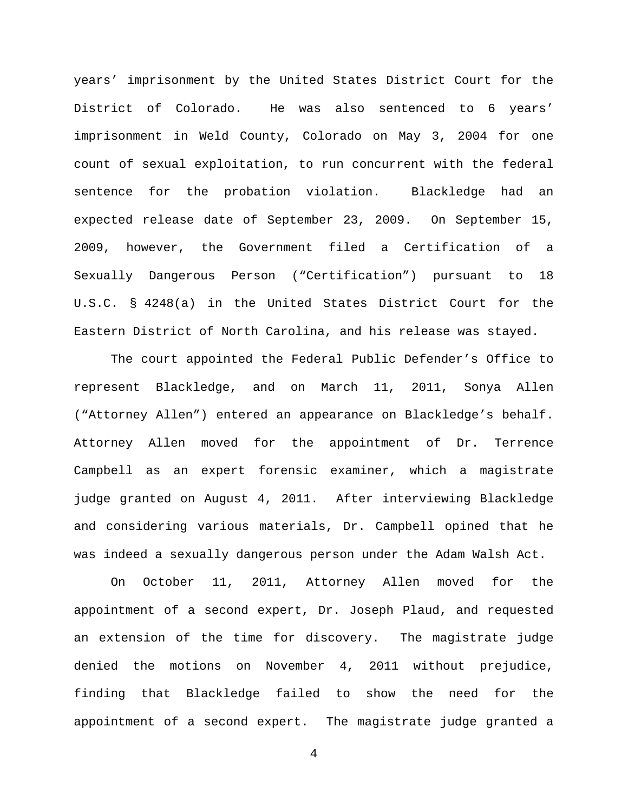years' imprisonment by the United States District Court for the District of Colorado. He was also sentenced to 6 years' imprisonment in Weld County, Colorado on May 3, 2004 for one count of sexual exploitation, to run concurrent with the federal sentence for the probation violation. Blackledge had an expected release date of September 23, 2009. On September 15, 2009, however, the Government filed a Certification of a Sexually Dangerous Person ("Certification") pursuant to 18 U.S.C. § 4248(a) in the United States District Court for the Eastern District of North Carolina, and his release was stayed.

The court appointed the Federal Public Defender's Office to represent Blackledge, and on March 11, 2011, Sonya Allen ("Attorney Allen") entered an appearance on Blackledge's behalf. Attorney Allen moved for the appointment of Dr. Terrence Campbell as an expert forensic examiner, which a magistrate judge granted on August 4, 2011. After interviewing Blackledge and considering various materials, Dr. Campbell opined that he was indeed a sexually dangerous person under the Adam Walsh Act.

On October 11, 2011, Attorney Allen moved for the appointment of a second expert, Dr. Joseph Plaud, and requested an extension of the time for discovery. The magistrate judge denied the motions on November 4, 2011 without prejudice, finding that Blackledge failed to show the need for the appointment of a second expert. The magistrate judge granted a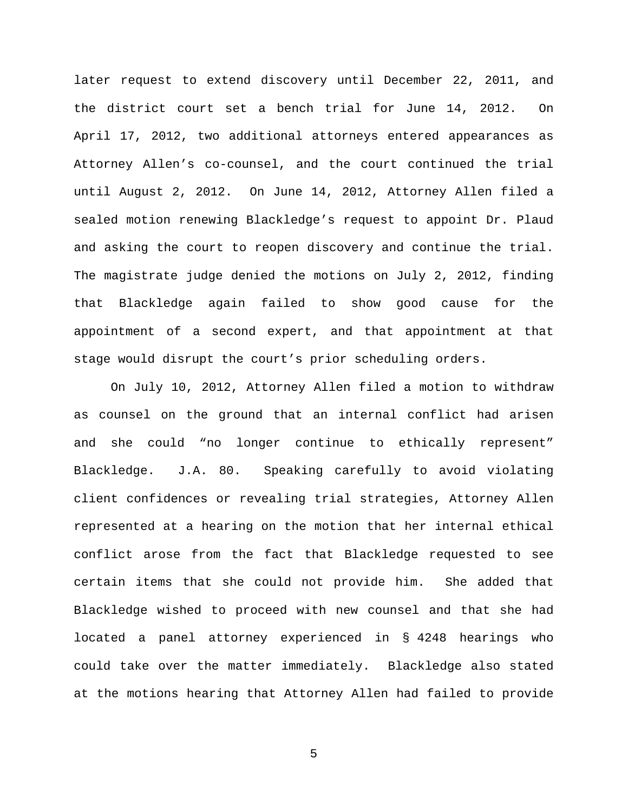later request to extend discovery until December 22, 2011, and the district court set a bench trial for June 14, 2012. On April 17, 2012, two additional attorneys entered appearances as Attorney Allen's co-counsel, and the court continued the trial until August 2, 2012. On June 14, 2012, Attorney Allen filed a sealed motion renewing Blackledge's request to appoint Dr. Plaud and asking the court to reopen discovery and continue the trial. The magistrate judge denied the motions on July 2, 2012, finding that Blackledge again failed to show good cause for the appointment of a second expert, and that appointment at that stage would disrupt the court's prior scheduling orders.

On July 10, 2012, Attorney Allen filed a motion to withdraw as counsel on the ground that an internal conflict had arisen and she could "no longer continue to ethically represent" Blackledge. J.A. 80. Speaking carefully to avoid violating client confidences or revealing trial strategies, Attorney Allen represented at a hearing on the motion that her internal ethical conflict arose from the fact that Blackledge requested to see certain items that she could not provide him. She added that Blackledge wished to proceed with new counsel and that she had located a panel attorney experienced in § 4248 hearings who could take over the matter immediately. Blackledge also stated at the motions hearing that Attorney Allen had failed to provide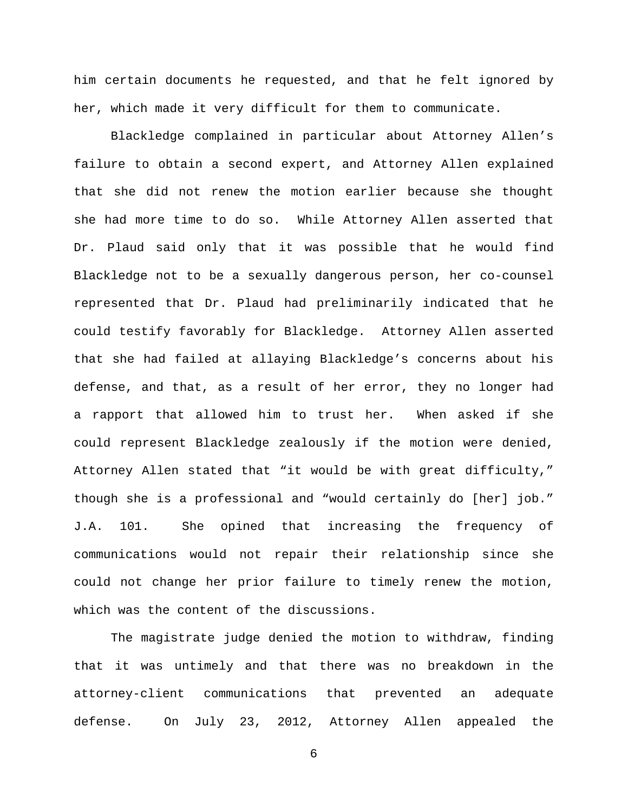him certain documents he requested, and that he felt ignored by her, which made it very difficult for them to communicate.

Blackledge complained in particular about Attorney Allen's failure to obtain a second expert, and Attorney Allen explained that she did not renew the motion earlier because she thought she had more time to do so. While Attorney Allen asserted that Dr. Plaud said only that it was possible that he would find Blackledge not to be a sexually dangerous person, her co-counsel represented that Dr. Plaud had preliminarily indicated that he could testify favorably for Blackledge. Attorney Allen asserted that she had failed at allaying Blackledge's concerns about his defense, and that, as a result of her error, they no longer had a rapport that allowed him to trust her. When asked if she could represent Blackledge zealously if the motion were denied, Attorney Allen stated that "it would be with great difficulty," though she is a professional and "would certainly do [her] job." J.A. 101. She opined that increasing the frequency of communications would not repair their relationship since she could not change her prior failure to timely renew the motion, which was the content of the discussions.

The magistrate judge denied the motion to withdraw, finding that it was untimely and that there was no breakdown in the attorney-client communications that prevented an adequate defense. On July 23, 2012, Attorney Allen appealed the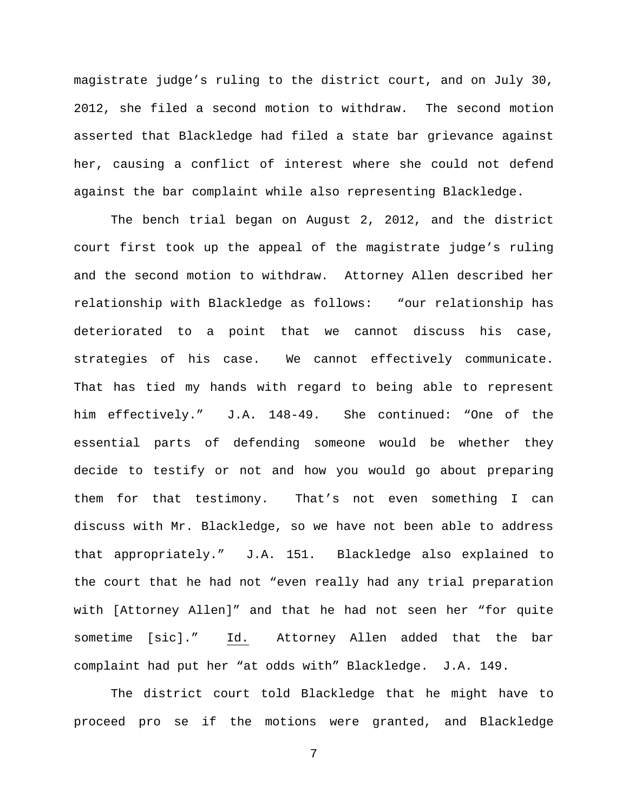magistrate judge's ruling to the district court, and on July 30, 2012, she filed a second motion to withdraw. The second motion asserted that Blackledge had filed a state bar grievance against her, causing a conflict of interest where she could not defend against the bar complaint while also representing Blackledge.

The bench trial began on August 2, 2012, and the district court first took up the appeal of the magistrate judge's ruling and the second motion to withdraw. Attorney Allen described her relationship with Blackledge as follows: "our relationship has deteriorated to a point that we cannot discuss his case, strategies of his case. We cannot effectively communicate. That has tied my hands with regard to being able to represent him effectively." J.A. 148-49. She continued: "One of the essential parts of defending someone would be whether they decide to testify or not and how you would go about preparing them for that testimony. That's not even something I can discuss with Mr. Blackledge, so we have not been able to address that appropriately." J.A. 151. Blackledge also explained to the court that he had not "even really had any trial preparation with [Attorney Allen]" and that he had not seen her "for quite sometime [sic]." Id. Attorney Allen added that the bar complaint had put her "at odds with" Blackledge. J.A. 149.

The district court told Blackledge that he might have to proceed pro se if the motions were granted, and Blackledge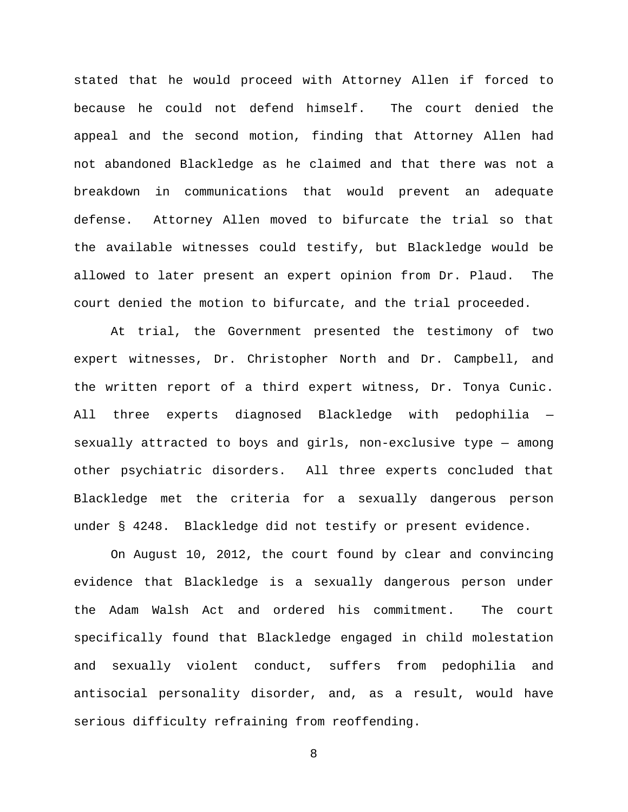stated that he would proceed with Attorney Allen if forced to because he could not defend himself. The court denied the appeal and the second motion, finding that Attorney Allen had not abandoned Blackledge as he claimed and that there was not a breakdown in communications that would prevent an adequate defense. Attorney Allen moved to bifurcate the trial so that the available witnesses could testify, but Blackledge would be allowed to later present an expert opinion from Dr. Plaud. The court denied the motion to bifurcate, and the trial proceeded.

At trial, the Government presented the testimony of two expert witnesses, Dr. Christopher North and Dr. Campbell, and the written report of a third expert witness, Dr. Tonya Cunic. All three experts diagnosed Blackledge with pedophilia sexually attracted to boys and girls, non-exclusive type — among other psychiatric disorders. All three experts concluded that Blackledge met the criteria for a sexually dangerous person under § 4248. Blackledge did not testify or present evidence.

On August 10, 2012, the court found by clear and convincing evidence that Blackledge is a sexually dangerous person under the Adam Walsh Act and ordered his commitment. The court specifically found that Blackledge engaged in child molestation and sexually violent conduct, suffers from pedophilia and antisocial personality disorder, and, as a result, would have serious difficulty refraining from reoffending.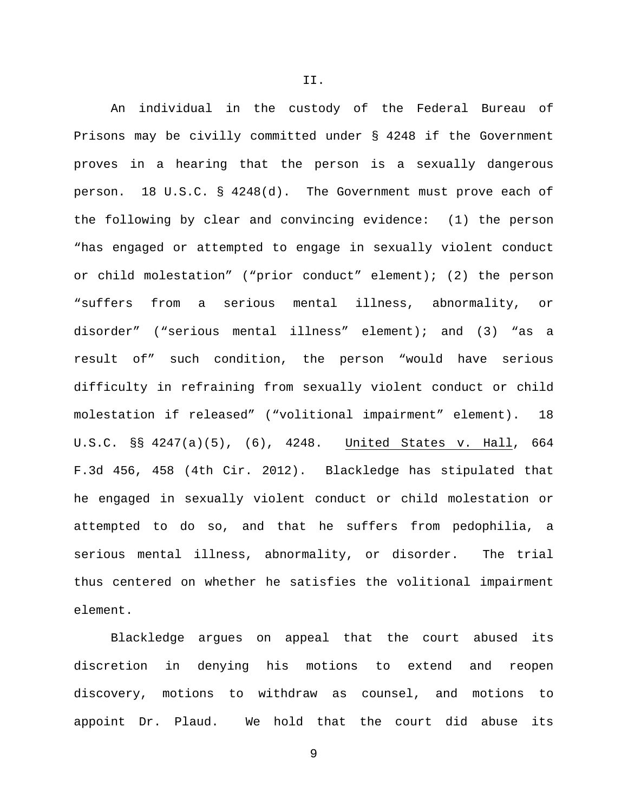An individual in the custody of the Federal Bureau of Prisons may be civilly committed under § 4248 if the Government proves in a hearing that the person is a sexually dangerous person. 18 U.S.C. § 4248(d). The Government must prove each of the following by clear and convincing evidence: (1) the person "has engaged or attempted to engage in sexually violent conduct or child molestation" ("prior conduct" element); (2) the person "suffers from a serious mental illness, abnormality, or disorder" ("serious mental illness" element); and (3) "as a result of" such condition, the person "would have serious difficulty in refraining from sexually violent conduct or child molestation if released" ("volitional impairment" element). 18 U.S.C. §§ 4247(a)(5), (6), 4248. United States v. Hall, 664 F.3d 456, 458 (4th Cir. 2012). Blackledge has stipulated that he engaged in sexually violent conduct or child molestation or attempted to do so, and that he suffers from pedophilia, a serious mental illness, abnormality, or disorder. The trial thus centered on whether he satisfies the volitional impairment element.

Blackledge argues on appeal that the court abused its discretion in denying his motions to extend and reopen discovery, motions to withdraw as counsel, and motions to appoint Dr. Plaud. We hold that the court did abuse its

9

II.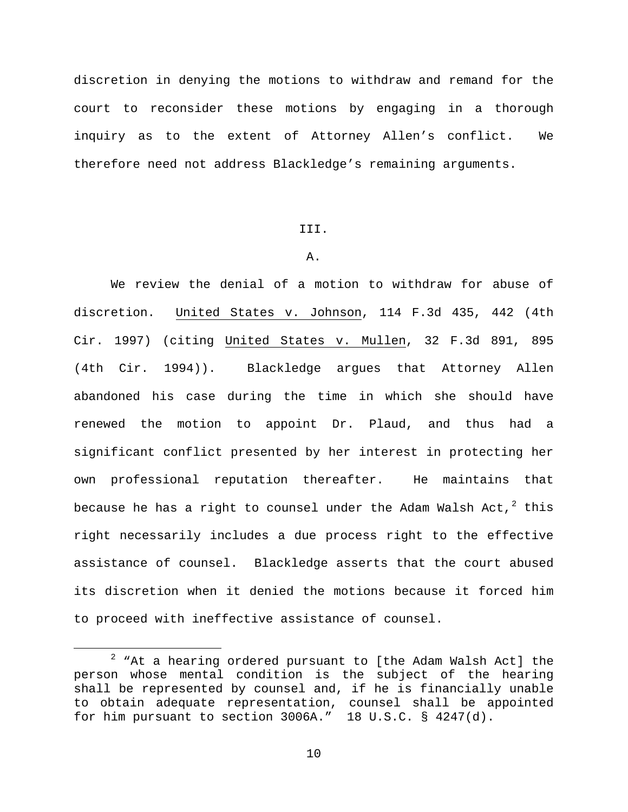discretion in denying the motions to withdraw and remand for the court to reconsider these motions by engaging in a thorough inquiry as to the extent of Attorney Allen's conflict. We therefore need not address Blackledge's remaining arguments.

#### III.

## A.

We review the denial of a motion to withdraw for abuse of discretion. United States v. Johnson, 114 F.3d 435, 442 (4th Cir. 1997) (citing United States v. Mullen, 32 F.3d 891, 895 (4th Cir. 1994)). Blackledge argues that Attorney Allen abandoned his case during the time in which she should have renewed the motion to appoint Dr. Plaud, and thus had a significant conflict presented by her interest in protecting her own professional reputation thereafter. He maintains that because he has a right to counsel under the Adam Walsh Act,  $2$  this right necessarily includes a due process right to the effective assistance of counsel. Blackledge asserts that the court abused its discretion when it denied the motions because it forced him to proceed with ineffective assistance of counsel.

<span id="page-9-0"></span> $2$  "At a hearing ordered pursuant to [the Adam Walsh Act] the person whose mental condition is the subject of the hearing shall be represented by counsel and, if he is financially unable to obtain adequate representation, counsel shall be appointed for him pursuant to section 3006A." 18 U.S.C. § 4247(d).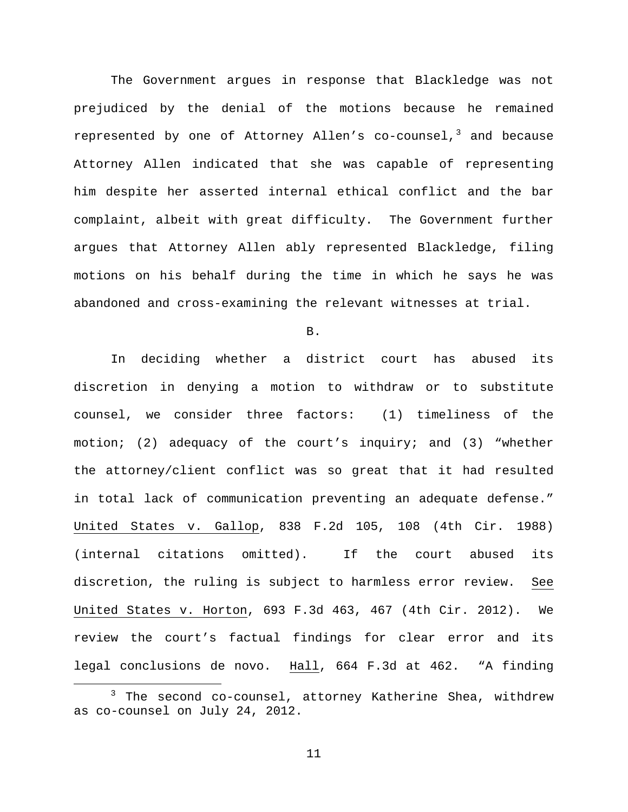The Government argues in response that Blackledge was not prejudiced by the denial of the motions because he remained represented by one of Attorney Allen's co-counsel,  $3$  and because Attorney Allen indicated that she was capable of representing him despite her asserted internal ethical conflict and the bar complaint, albeit with great difficulty. The Government further argues that Attorney Allen ably represented Blackledge, filing motions on his behalf during the time in which he says he was abandoned and cross-examining the relevant witnesses at trial.

B.

In deciding whether a district court has abused its discretion in denying a motion to withdraw or to substitute counsel, we consider three factors: (1) timeliness of the motion; (2) adequacy of the court's inquiry; and (3) "whether the attorney/client conflict was so great that it had resulted in total lack of communication preventing an adequate defense." United States v. Gallop, 838 F.2d 105, 108 (4th Cir. 1988) (internal citations omitted). If the court abused its discretion, the ruling is subject to harmless error review. See United States v. Horton, 693 F.3d 463, 467 (4th Cir. 2012). We review the court's factual findings for clear error and its legal conclusions de novo. Hall, 664 F.3d at 462. "A finding

<span id="page-10-0"></span><sup>&</sup>lt;sup>3</sup> The second co-counsel, attorney Katherine Shea, withdrew as co-counsel on July 24, 2012.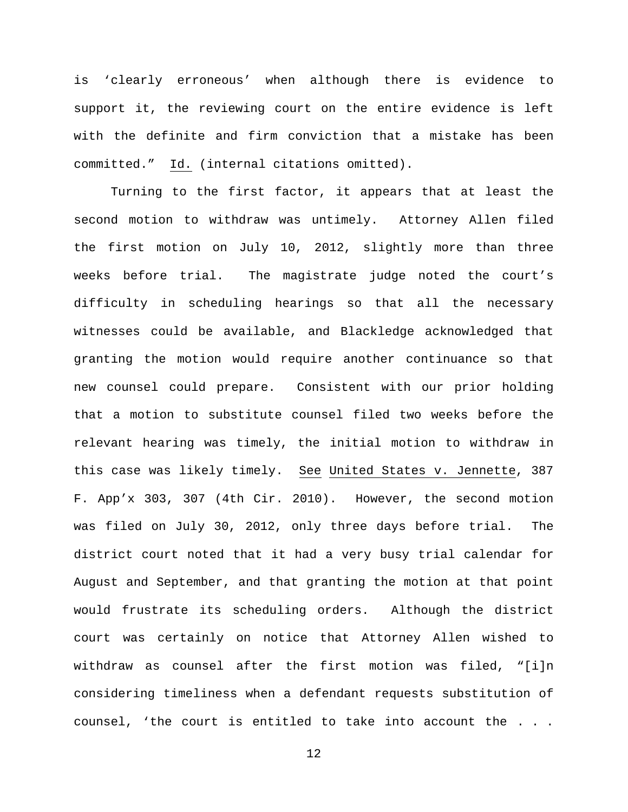is 'clearly erroneous' when although there is evidence to support it, the reviewing court on the entire evidence is left with the definite and firm conviction that a mistake has been committed." Id. (internal citations omitted).

Turning to the first factor, it appears that at least the second motion to withdraw was untimely. Attorney Allen filed the first motion on July 10, 2012, slightly more than three weeks before trial. The magistrate judge noted the court's difficulty in scheduling hearings so that all the necessary witnesses could be available, and Blackledge acknowledged that granting the motion would require another continuance so that new counsel could prepare. Consistent with our prior holding that a motion to substitute counsel filed two weeks before the relevant hearing was timely, the initial motion to withdraw in this case was likely timely. See United States v. Jennette, 387 F. App'x 303, 307 (4th Cir. 2010). However, the second motion was filed on July 30, 2012, only three days before trial. The district court noted that it had a very busy trial calendar for August and September, and that granting the motion at that point would frustrate its scheduling orders. Although the district court was certainly on notice that Attorney Allen wished to withdraw as counsel after the first motion was filed, "[i]n considering timeliness when a defendant requests substitution of counsel, 'the court is entitled to take into account the . . .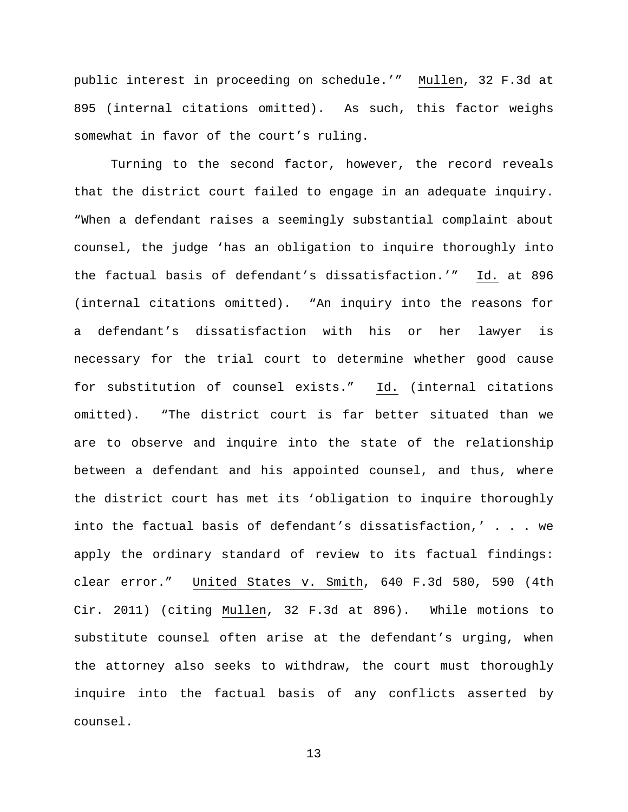public interest in proceeding on schedule.'" Mullen, 32 F.3d at 895 (internal citations omitted). As such, this factor weighs somewhat in favor of the court's ruling.

Turning to the second factor, however, the record reveals that the district court failed to engage in an adequate inquiry. "When a defendant raises a seemingly substantial complaint about counsel, the judge 'has an obligation to inquire thoroughly into the factual basis of defendant's dissatisfaction.'" Id. at 896 (internal citations omitted). "An inquiry into the reasons for a defendant's dissatisfaction with his or her lawyer is necessary for the trial court to determine whether good cause for substitution of counsel exists." Id. (internal citations omitted). "The district court is far better situated than we are to observe and inquire into the state of the relationship between a defendant and his appointed counsel, and thus, where the district court has met its 'obligation to inquire thoroughly into the factual basis of defendant's dissatisfaction,' . . . we apply the ordinary standard of review to its factual findings: clear error." United States v. Smith, 640 F.3d 580, 590 (4th Cir. 2011) (citing Mullen, 32 F.3d at 896). While motions to substitute counsel often arise at the defendant's urging, when the attorney also seeks to withdraw, the court must thoroughly inquire into the factual basis of any conflicts asserted by counsel.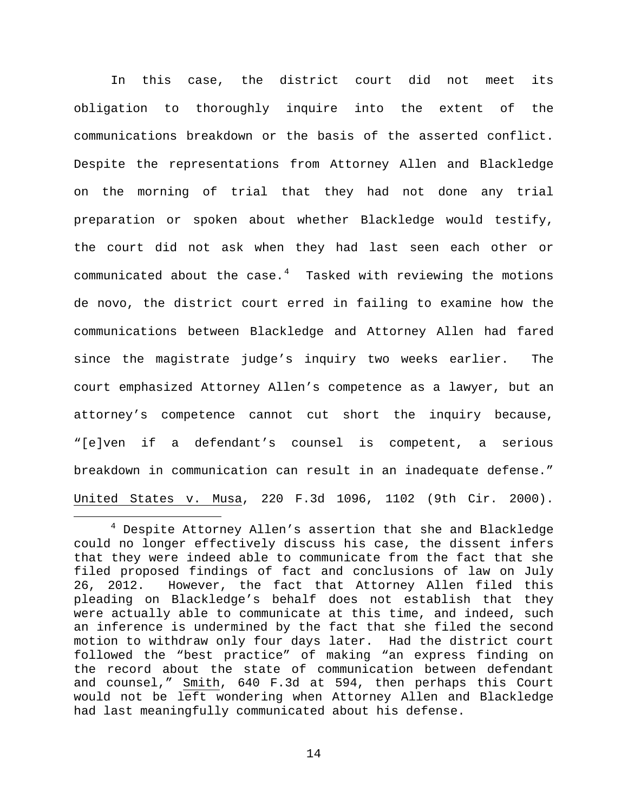In this case, the district court did not meet its obligation to thoroughly inquire into the extent of the communications breakdown or the basis of the asserted conflict. Despite the representations from Attorney Allen and Blackledge on the morning of trial that they had not done any trial preparation or spoken about whether Blackledge would testify, the court did not ask when they had last seen each other or communicated about the case.[4](#page-13-0) Tasked with reviewing the motions de novo, the district court erred in failing to examine how the communications between Blackledge and Attorney Allen had fared since the magistrate judge's inquiry two weeks earlier. The court emphasized Attorney Allen's competence as a lawyer, but an attorney's competence cannot cut short the inquiry because, "[e]ven if a defendant's counsel is competent, a serious breakdown in communication can result in an inadequate defense." United States v. Musa, 220 F.3d 1096, 1102 (9th Cir. 2000).

<span id="page-13-0"></span><sup>&</sup>lt;sup>4</sup> Despite Attorney Allen's assertion that she and Blackledge could no longer effectively discuss his case, the dissent infers that they were indeed able to communicate from the fact that she filed proposed findings of fact and conclusions of law on July 26, 2012. However, the fact that Attorney Allen filed this pleading on Blackledge's behalf does not establish that they were actually able to communicate at this time, and indeed, such an inference is undermined by the fact that she filed the second motion to withdraw only four days later. Had the district court followed the "best practice" of making "an express finding on the record about the state of communication between defendant and counsel," Smith, 640 F.3d at 594, then perhaps this Court would not be left wondering when Attorney Allen and Blackledge had last meaningfully communicated about his defense.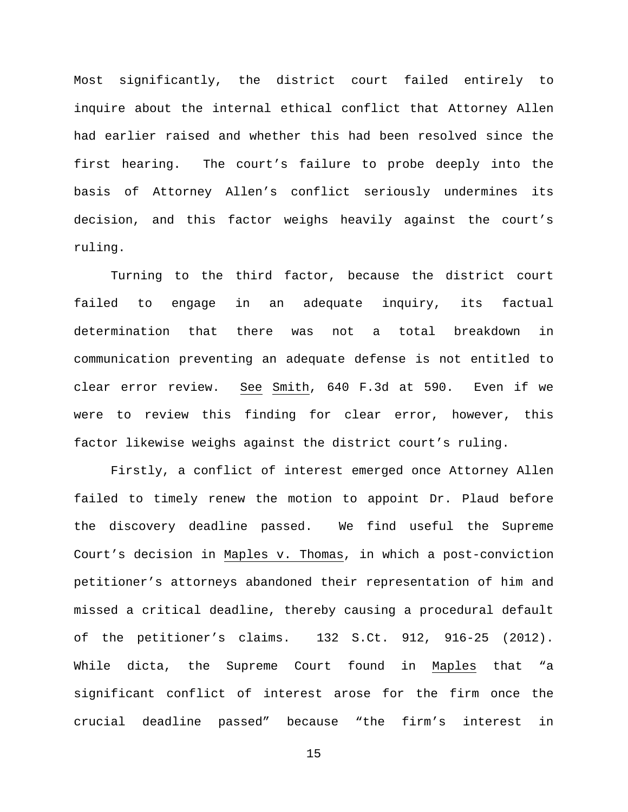Most significantly, the district court failed entirely to inquire about the internal ethical conflict that Attorney Allen had earlier raised and whether this had been resolved since the first hearing. The court's failure to probe deeply into the basis of Attorney Allen's conflict seriously undermines its decision, and this factor weighs heavily against the court's ruling.

Turning to the third factor, because the district court failed to engage in an adequate inquiry, its factual determination that there was not a total breakdown in communication preventing an adequate defense is not entitled to clear error review. See Smith, 640 F.3d at 590. Even if we were to review this finding for clear error, however, this factor likewise weighs against the district court's ruling.

Firstly, a conflict of interest emerged once Attorney Allen failed to timely renew the motion to appoint Dr. Plaud before the discovery deadline passed. We find useful the Supreme Court's decision in Maples v. Thomas, in which a post-conviction petitioner's attorneys abandoned their representation of him and missed a critical deadline, thereby causing a procedural default of the petitioner's claims. 132 S.Ct. 912, 916-25 (2012). While dicta, the Supreme Court found in Maples that "a significant conflict of interest arose for the firm once the crucial deadline passed" because "the firm's interest in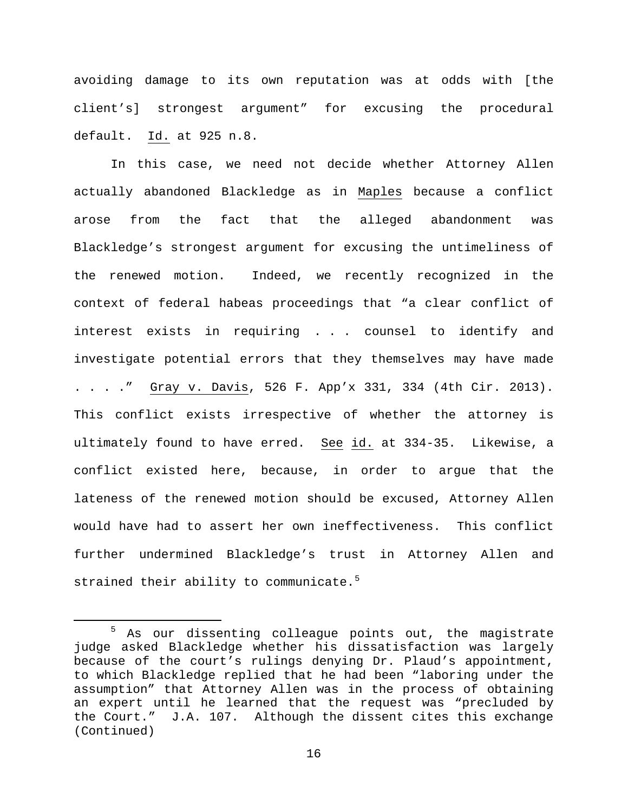avoiding damage to its own reputation was at odds with [the client's] strongest argument" for excusing the procedural default. Id. at 925 n.8.

In this case, we need not decide whether Attorney Allen actually abandoned Blackledge as in Maples because a conflict arose from the fact that the alleged abandonment was Blackledge's strongest argument for excusing the untimeliness of the renewed motion. Indeed, we recently recognized in the context of federal habeas proceedings that "a clear conflict of interest exists in requiring . . . counsel to identify and investigate potential errors that they themselves may have made . . . ." Gray v. Davis, 526 F. App'x 331, 334 (4th Cir. 2013). This conflict exists irrespective of whether the attorney is ultimately found to have erred. See id. at 334-35. Likewise, a conflict existed here, because, in order to argue that the lateness of the renewed motion should be excused, Attorney Allen would have had to assert her own ineffectiveness. This conflict further undermined Blackledge's trust in Attorney Allen and strained their ability to communicate.<sup>[5](#page-15-0)</sup>

<span id="page-15-0"></span> <sup>5</sup> As our dissenting colleague points out, the magistrate judge asked Blackledge whether his dissatisfaction was largely because of the court's rulings denying Dr. Plaud's appointment, to which Blackledge replied that he had been "laboring under the assumption" that Attorney Allen was in the process of obtaining an expert until he learned that the request was "precluded by the Court." J.A. 107. Although the dissent cites this exchange (Continued)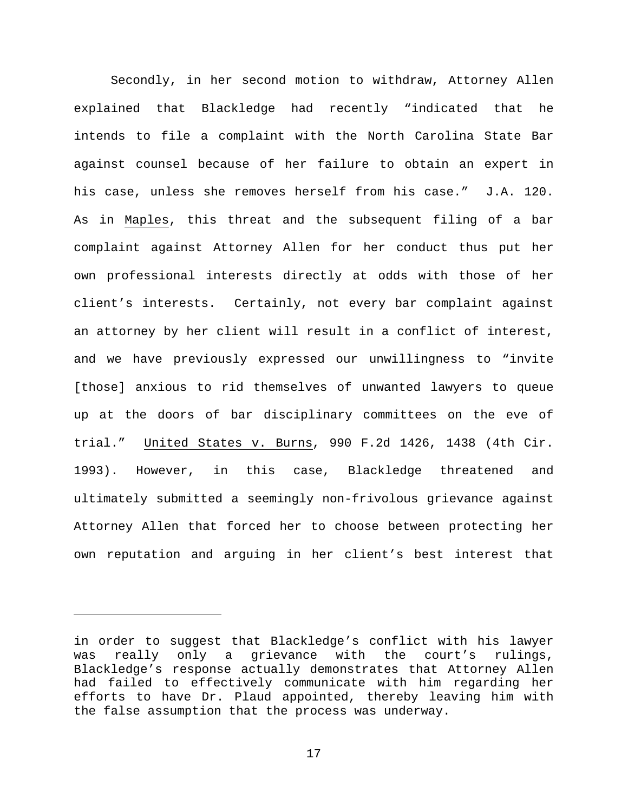Secondly, in her second motion to withdraw, Attorney Allen explained that Blackledge had recently "indicated that he intends to file a complaint with the North Carolina State Bar against counsel because of her failure to obtain an expert in his case, unless she removes herself from his case." J.A. 120. As in Maples, this threat and the subsequent filing of a bar complaint against Attorney Allen for her conduct thus put her own professional interests directly at odds with those of her client's interests. Certainly, not every bar complaint against an attorney by her client will result in a conflict of interest, and we have previously expressed our unwillingness to "invite [those] anxious to rid themselves of unwanted lawyers to queue up at the doors of bar disciplinary committees on the eve of trial." United States v. Burns, 990 F.2d 1426, 1438 (4th Cir. 1993). However, in this case, Blackledge threatened and ultimately submitted a seemingly non-frivolous grievance against Attorney Allen that forced her to choose between protecting her own reputation and arguing in her client's best interest that

ī

in order to suggest that Blackledge's conflict with his lawyer was really only a grievance with the court's rulings, Blackledge's response actually demonstrates that Attorney Allen had failed to effectively communicate with him regarding her efforts to have Dr. Plaud appointed, thereby leaving him with the false assumption that the process was underway.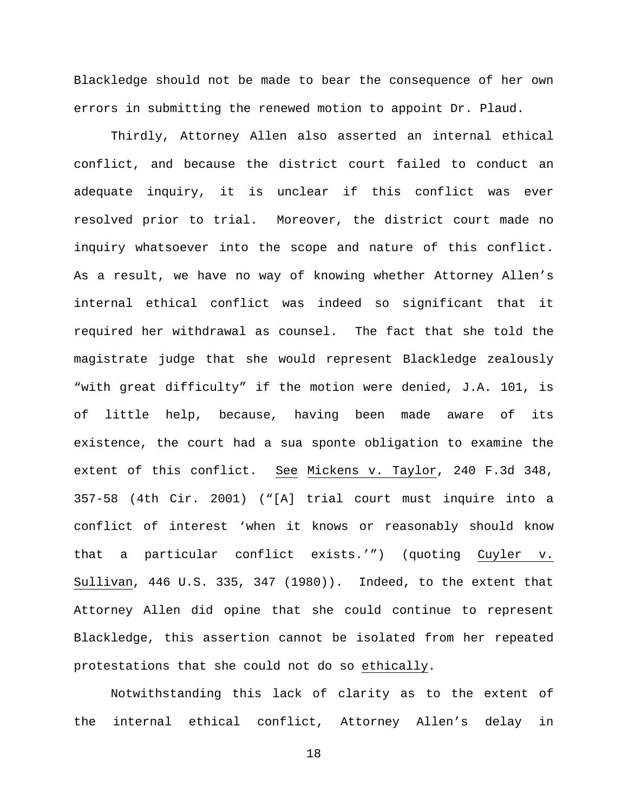Blackledge should not be made to bear the consequence of her own errors in submitting the renewed motion to appoint Dr. Plaud.

Thirdly, Attorney Allen also asserted an internal ethical conflict, and because the district court failed to conduct an adequate inquiry, it is unclear if this conflict was ever resolved prior to trial. Moreover, the district court made no inquiry whatsoever into the scope and nature of this conflict. As a result, we have no way of knowing whether Attorney Allen's internal ethical conflict was indeed so significant that it required her withdrawal as counsel. The fact that she told the magistrate judge that she would represent Blackledge zealously "with great difficulty" if the motion were denied, J.A. 101, is of little help, because, having been made aware of its existence, the court had a sua sponte obligation to examine the extent of this conflict. See Mickens v. Taylor, 240 F.3d 348, 357-58 (4th Cir. 2001) ("[A] trial court must inquire into a conflict of interest 'when it knows or reasonably should know that a particular conflict exists.'") (quoting Cuyler v. Sullivan, 446 U.S. 335, 347 (1980)). Indeed, to the extent that Attorney Allen did opine that she could continue to represent Blackledge, this assertion cannot be isolated from her repeated protestations that she could not do so ethically.

Notwithstanding this lack of clarity as to the extent of the internal ethical conflict, Attorney Allen's delay in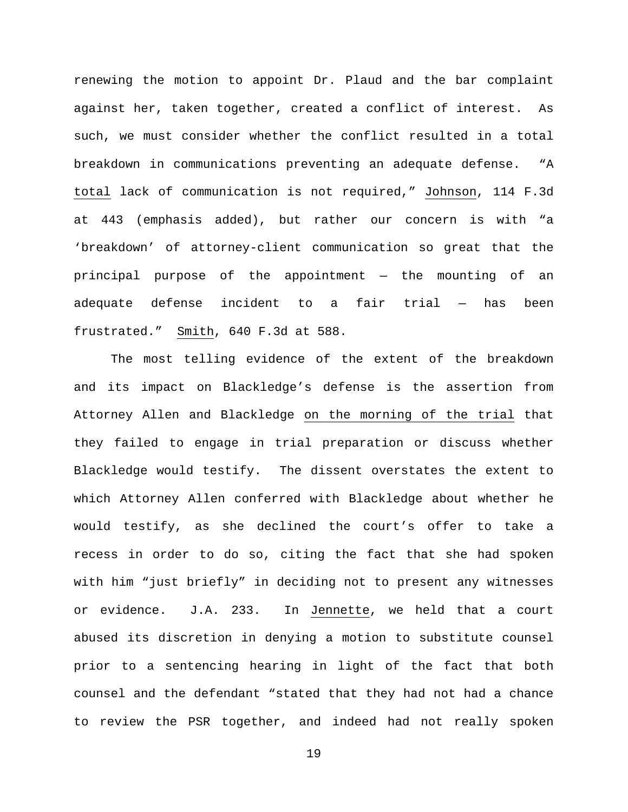renewing the motion to appoint Dr. Plaud and the bar complaint against her, taken together, created a conflict of interest. As such, we must consider whether the conflict resulted in a total breakdown in communications preventing an adequate defense. "A total lack of communication is not required," Johnson, 114 F.3d at 443 (emphasis added), but rather our concern is with "a 'breakdown' of attorney-client communication so great that the principal purpose of the appointment — the mounting of an adequate defense incident to a fair trial — has been frustrated." Smith, 640 F.3d at 588.

The most telling evidence of the extent of the breakdown and its impact on Blackledge's defense is the assertion from Attorney Allen and Blackledge on the morning of the trial that they failed to engage in trial preparation or discuss whether Blackledge would testify. The dissent overstates the extent to which Attorney Allen conferred with Blackledge about whether he would testify, as she declined the court's offer to take a recess in order to do so, citing the fact that she had spoken with him "just briefly" in deciding not to present any witnesses or evidence. J.A. 233. In Jennette, we held that a court abused its discretion in denying a motion to substitute counsel prior to a sentencing hearing in light of the fact that both counsel and the defendant "stated that they had not had a chance to review the PSR together, and indeed had not really spoken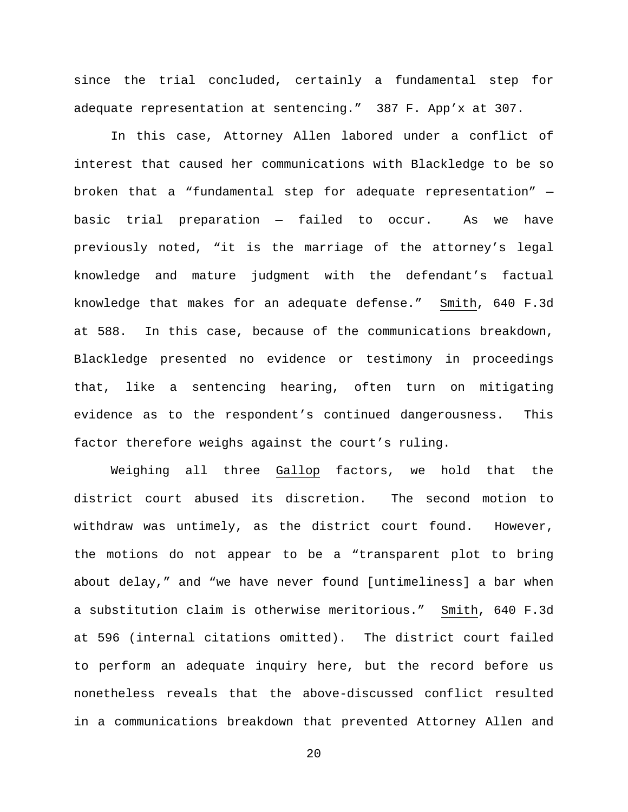since the trial concluded, certainly a fundamental step for adequate representation at sentencing." 387 F. App'x at 307.

In this case, Attorney Allen labored under a conflict of interest that caused her communications with Blackledge to be so broken that a "fundamental step for adequate representation" basic trial preparation — failed to occur. As we have previously noted, "it is the marriage of the attorney's legal knowledge and mature judgment with the defendant's factual knowledge that makes for an adequate defense." Smith, 640 F.3d at 588. In this case, because of the communications breakdown, Blackledge presented no evidence or testimony in proceedings that, like a sentencing hearing, often turn on mitigating evidence as to the respondent's continued dangerousness. This factor therefore weighs against the court's ruling.

Weighing all three Gallop factors, we hold that the district court abused its discretion. The second motion to withdraw was untimely, as the district court found. However, the motions do not appear to be a "transparent plot to bring about delay," and "we have never found [untimeliness] a bar when a substitution claim is otherwise meritorious." Smith, 640 F.3d at 596 (internal citations omitted). The district court failed to perform an adequate inquiry here, but the record before us nonetheless reveals that the above-discussed conflict resulted in a communications breakdown that prevented Attorney Allen and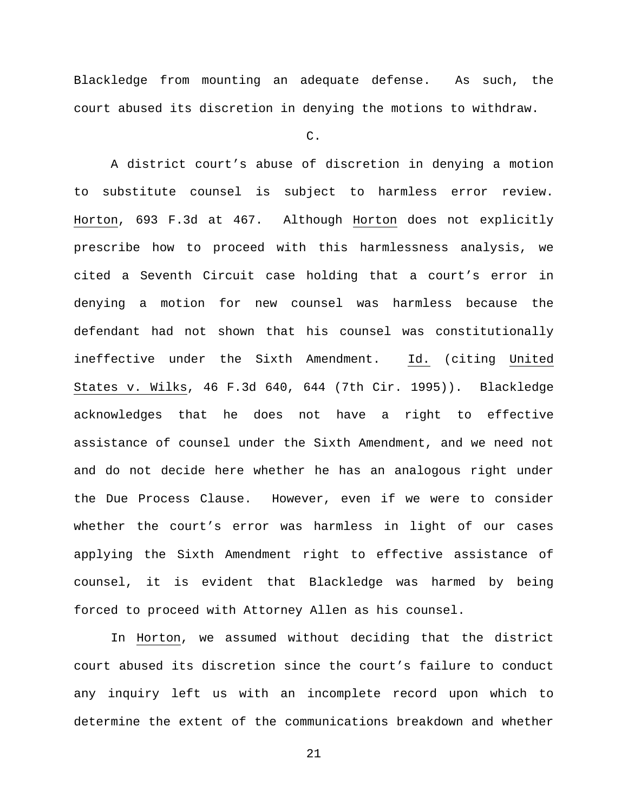Blackledge from mounting an adequate defense. As such, the court abused its discretion in denying the motions to withdraw.

C.

A district court's abuse of discretion in denying a motion to substitute counsel is subject to harmless error review. Horton, 693 F.3d at 467. Although Horton does not explicitly prescribe how to proceed with this harmlessness analysis, we cited a Seventh Circuit case holding that a court's error in denying a motion for new counsel was harmless because the defendant had not shown that his counsel was constitutionally ineffective under the Sixth Amendment. Id. (citing United States v. Wilks, 46 F.3d 640, 644 (7th Cir. 1995)). Blackledge acknowledges that he does not have a right to effective assistance of counsel under the Sixth Amendment, and we need not and do not decide here whether he has an analogous right under the Due Process Clause. However, even if we were to consider whether the court's error was harmless in light of our cases applying the Sixth Amendment right to effective assistance of counsel, it is evident that Blackledge was harmed by being forced to proceed with Attorney Allen as his counsel.

In Horton, we assumed without deciding that the district court abused its discretion since the court's failure to conduct any inquiry left us with an incomplete record upon which to determine the extent of the communications breakdown and whether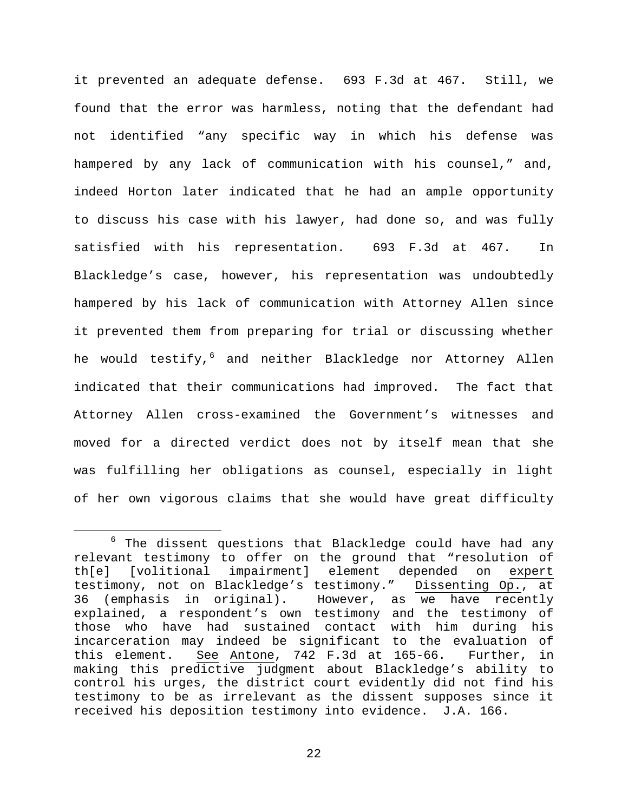it prevented an adequate defense. 693 F.3d at 467. Still, we found that the error was harmless, noting that the defendant had not identified "any specific way in which his defense was hampered by any lack of communication with his counsel," and, indeed Horton later indicated that he had an ample opportunity to discuss his case with his lawyer, had done so, and was fully satisfied with his representation. 693 F.3d at 467. In Blackledge's case, however, his representation was undoubtedly hampered by his lack of communication with Attorney Allen since it prevented them from preparing for trial or discussing whether he would testify,<sup>[6](#page-21-0)</sup> and neither Blackledge nor Attorney Allen indicated that their communications had improved. The fact that Attorney Allen cross-examined the Government's witnesses and moved for a directed verdict does not by itself mean that she was fulfilling her obligations as counsel, especially in light of her own vigorous claims that she would have great difficulty

<span id="page-21-0"></span> $6$  The dissent questions that Blackledge could have had any relevant testimony to offer on the ground that "resolution of th[e] [volitional impairment] element depended on expert testimony, not on Blackledge's testimony." Dissenting Op., at 36 (emphasis in original). However, as we have recently explained, a respondent's own testimony and the testimony of those who have had sustained contact with him during his incarceration may indeed be significant to the evaluation of this element. See Antone, 742 F.3d at 165-66. Further, in making this predictive judgment about Blackledge's ability to control his urges, the district court evidently did not find his testimony to be as irrelevant as the dissent supposes since it received his deposition testimony into evidence. J.A. 166.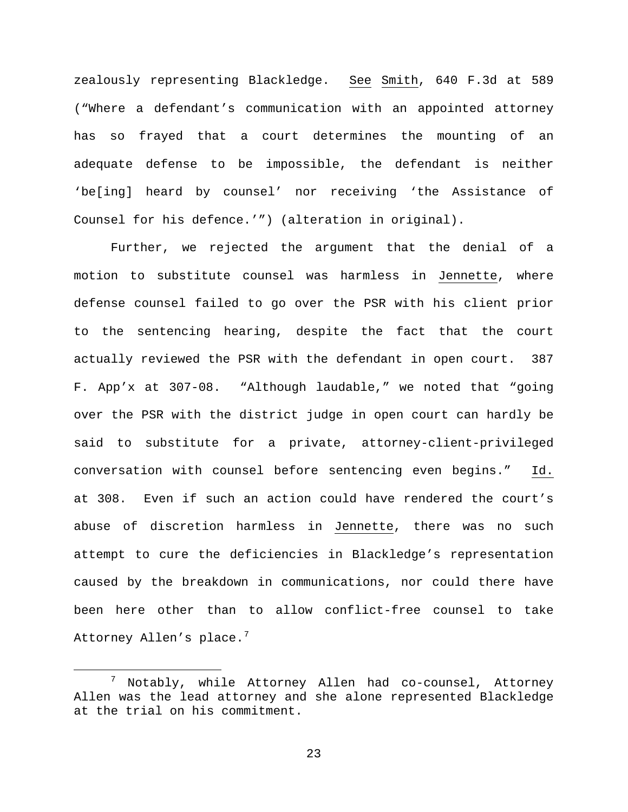zealously representing Blackledge. See Smith, 640 F.3d at 589 ("Where a defendant's communication with an appointed attorney has so frayed that a court determines the mounting of an adequate defense to be impossible, the defendant is neither 'be[ing] heard by counsel' nor receiving 'the Assistance of Counsel for his defence.'") (alteration in original).

Further, we rejected the argument that the denial of a motion to substitute counsel was harmless in Jennette, where defense counsel failed to go over the PSR with his client prior to the sentencing hearing, despite the fact that the court actually reviewed the PSR with the defendant in open court. 387 F. App'x at 307-08. "Although laudable," we noted that "going over the PSR with the district judge in open court can hardly be said to substitute for a private, attorney-client-privileged conversation with counsel before sentencing even begins." Id. at 308. Even if such an action could have rendered the court's abuse of discretion harmless in Jennette, there was no such attempt to cure the deficiencies in Blackledge's representation caused by the breakdown in communications, nor could there have been here other than to allow conflict-free counsel to take Attorney Allen's place. $7$ 

<span id="page-22-0"></span> $7$  Notably, while Attorney Allen had co-counsel, Attorney Allen was the lead attorney and she alone represented Blackledge at the trial on his commitment.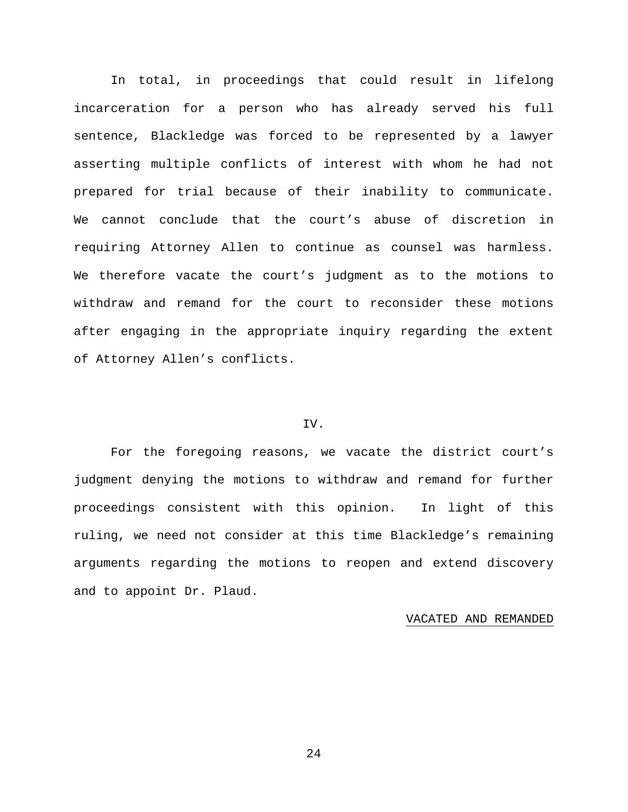In total, in proceedings that could result in lifelong incarceration for a person who has already served his full sentence, Blackledge was forced to be represented by a lawyer asserting multiple conflicts of interest with whom he had not prepared for trial because of their inability to communicate. We cannot conclude that the court's abuse of discretion in requiring Attorney Allen to continue as counsel was harmless. We therefore vacate the court's judgment as to the motions to withdraw and remand for the court to reconsider these motions after engaging in the appropriate inquiry regarding the extent of Attorney Allen's conflicts.

### IV.

For the foregoing reasons, we vacate the district court's judgment denying the motions to withdraw and remand for further proceedings consistent with this opinion. In light of this ruling, we need not consider at this time Blackledge's remaining arguments regarding the motions to reopen and extend discovery and to appoint Dr. Plaud.

### VACATED AND REMANDED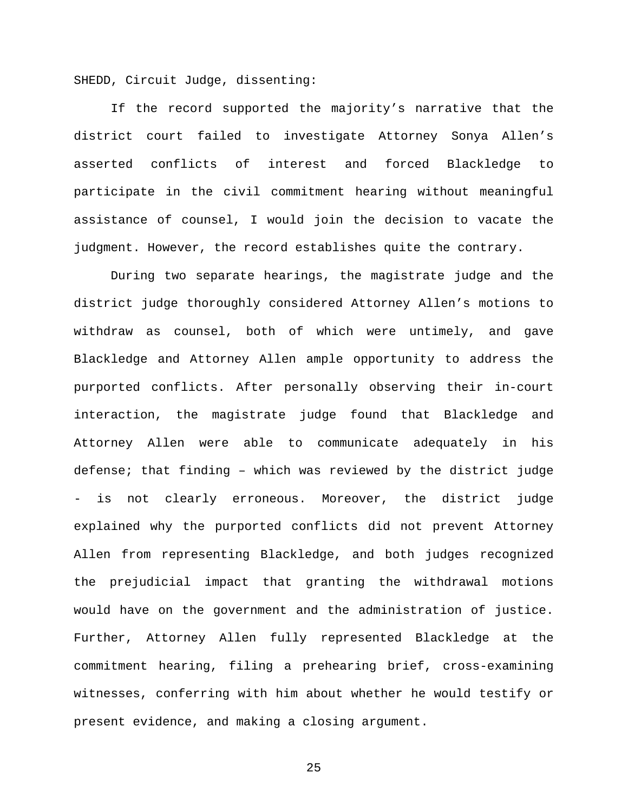SHEDD, Circuit Judge, dissenting:

If the record supported the majority's narrative that the district court failed to investigate Attorney Sonya Allen's asserted conflicts of interest and forced Blackledge to participate in the civil commitment hearing without meaningful assistance of counsel, I would join the decision to vacate the judgment. However, the record establishes quite the contrary.

During two separate hearings, the magistrate judge and the district judge thoroughly considered Attorney Allen's motions to withdraw as counsel, both of which were untimely, and gave Blackledge and Attorney Allen ample opportunity to address the purported conflicts. After personally observing their in-court interaction, the magistrate judge found that Blackledge and Attorney Allen were able to communicate adequately in his defense; that finding – which was reviewed by the district judge - is not clearly erroneous. Moreover, the district judge explained why the purported conflicts did not prevent Attorney Allen from representing Blackledge, and both judges recognized the prejudicial impact that granting the withdrawal motions would have on the government and the administration of justice. Further, Attorney Allen fully represented Blackledge at the commitment hearing, filing a prehearing brief, cross-examining witnesses, conferring with him about whether he would testify or present evidence, and making a closing argument.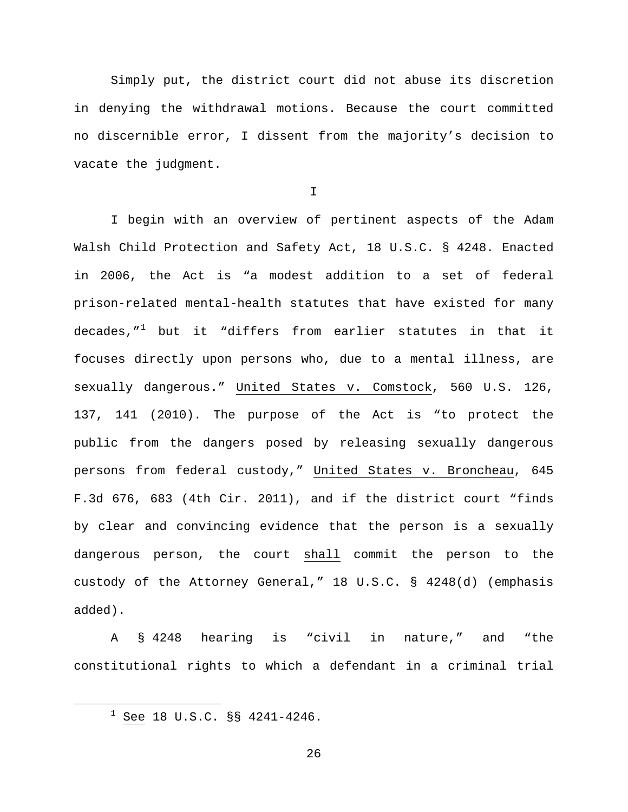Simply put, the district court did not abuse its discretion in denying the withdrawal motions. Because the court committed no discernible error, I dissent from the majority's decision to vacate the judgment.

I

I begin with an overview of pertinent aspects of the Adam Walsh Child Protection and Safety Act, 18 U.S.C. § 4248. Enacted in 2006, the Act is "a modest addition to a set of federal prison-related mental-health statutes that have existed for many decades, $1$ <sup>1</sup> but it "differs from earlier statutes in that it focuses directly upon persons who, due to a mental illness, are sexually dangerous." United States v. Comstock, 560 U.S. 126, 137, 141 (2010). The purpose of the Act is "to protect the public from the dangers posed by releasing sexually dangerous persons from federal custody," United States v. Broncheau, 645 F.3d 676, 683 (4th Cir. 2011), and if the district court "finds by clear and convincing evidence that the person is a sexually dangerous person, the court shall commit the person to the custody of the Attorney General," 18 U.S.C. § 4248(d) (emphasis added).

<span id="page-25-0"></span>A § 4248 hearing is "civil in nature," and "the constitutional rights to which a defendant in a criminal trial

 $^{1}$  See 18 U.S.C. §§ 4241-4246.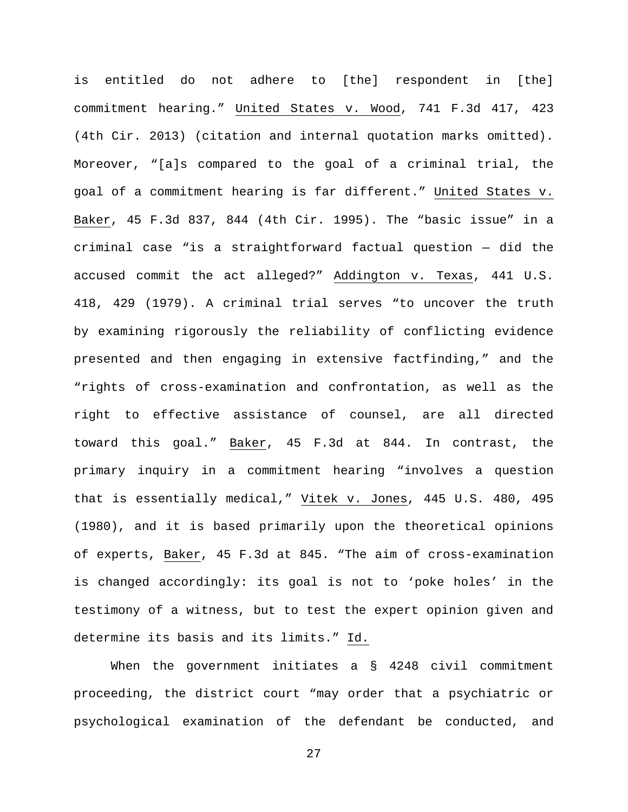is entitled do not adhere to [the] respondent in [the] commitment hearing." United States v. Wood, 741 F.3d 417, 423 (4th Cir. 2013) (citation and internal quotation marks omitted). Moreover, "[a]s compared to the goal of a criminal trial, the goal of a commitment hearing is far different." United States v. Baker, 45 F.3d 837, 844 (4th Cir. 1995). The "basic issue" in a criminal case "is a straightforward factual question — did the accused commit the act alleged?" Addington v. Texas, 441 U.S. 418, 429 (1979). A criminal trial serves "to uncover the truth by examining rigorously the reliability of conflicting evidence presented and then engaging in extensive factfinding," and the "rights of cross-examination and confrontation, as well as the right to effective assistance of counsel, are all directed toward this goal." Baker, 45 F.3d at 844. In contrast, the primary inquiry in a commitment hearing "involves a question that is essentially medical," Vitek v. Jones, 445 U.S. 480, 495 (1980), and it is based primarily upon the theoretical opinions of experts, Baker, 45 F.3d at 845. "The aim of cross-examination is changed accordingly: its goal is not to 'poke holes' in the testimony of a witness, but to test the expert opinion given and determine its basis and its limits." Id.

When the government initiates a § 4248 civil commitment proceeding, the district court "may order that a psychiatric or psychological examination of the defendant be conducted, and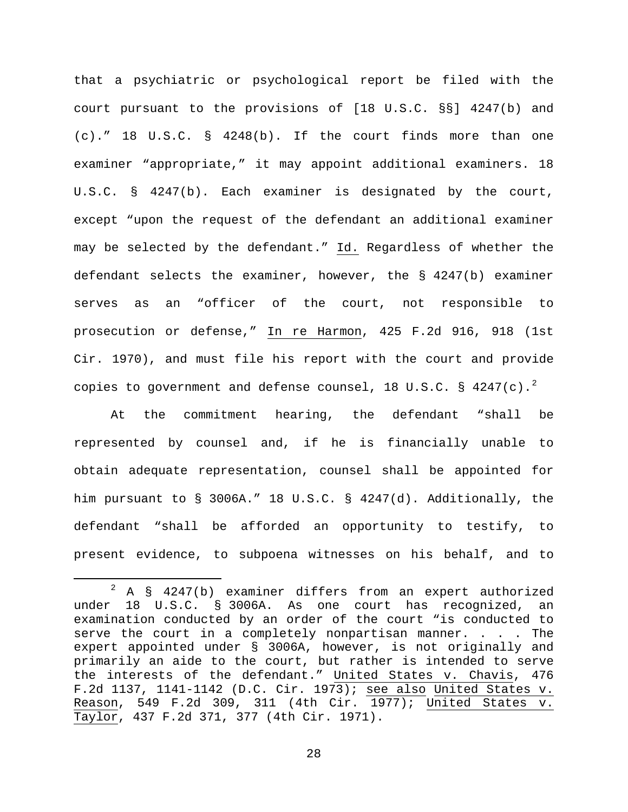that a psychiatric or psychological report be filed with the court pursuant to the provisions of [18 U.S.C. §§] 4247(b) and (c)." 18 U.S.C. § 4248(b). If the court finds more than one examiner "appropriate," it may appoint additional examiners. 18 U.S.C. § 4247(b). Each examiner is designated by the court, except "upon the request of the defendant an additional examiner may be selected by the defendant." Id. Regardless of whether the defendant selects the examiner, however, the § 4247(b) examiner serves as an "officer of the court, not responsible to prosecution or defense," In re Harmon, 425 F.2d 916, 918 (1st Cir. 1970), and must file his report with the court and provide copies to government and defense counsel, 18 U.S.C. § 4[2](#page-27-0)47(c).<sup>2</sup>

At the commitment hearing, the defendant "shall be represented by counsel and, if he is financially unable to obtain adequate representation, counsel shall be appointed for him pursuant to § 3006A." 18 U.S.C. § 4247(d). Additionally, the defendant "shall be afforded an opportunity to testify, to present evidence, to subpoena witnesses on his behalf, and to

<span id="page-27-0"></span> $2 A S 4247(b)$  examiner differs from an expert authorized under 18 U.S.C. § 3006A. As one court has recognized, an examination conducted by an order of the court "is conducted to serve the court in a completely nonpartisan manner. . . . The expert appointed under § 3006A, however, is not originally and primarily an aide to the court, but rather is intended to serve the interests of the defendant." United States v. Chavis, 476 F.2d 1137, 1141-1142 (D.C. Cir. 1973); see also United States v. Reason, 549 F.2d 309, 311 (4th Cir.  $1977$ ); United States v. Taylor, 437 F.2d 371, 377 (4th Cir. 1971).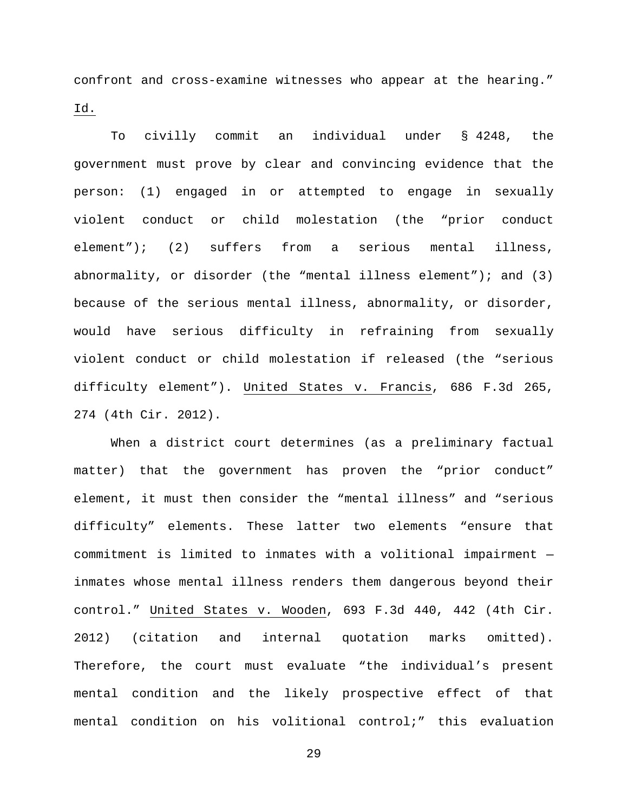confront and cross-examine witnesses who appear at the hearing." Id.

To civilly commit an individual under § 4248, the government must prove by clear and convincing evidence that the person: (1) engaged in or attempted to engage in sexually violent conduct or child molestation (the "prior conduct element"); (2) suffers from a serious mental illness, abnormality, or disorder (the "mental illness element"); and (3) because of the serious mental illness, abnormality, or disorder, would have serious difficulty in refraining from sexually violent conduct or child molestation if released (the "serious difficulty element"). United States v. Francis, 686 F.3d 265, 274 (4th Cir. 2012).

When a district court determines (as a preliminary factual matter) that the government has proven the "prior conduct" element, it must then consider the "mental illness" and "serious difficulty" elements. These latter two elements "ensure that commitment is limited to inmates with a volitional impairment inmates whose mental illness renders them dangerous beyond their control." United States v. Wooden, 693 F.3d 440, 442 (4th Cir. 2012) (citation and internal quotation marks omitted). Therefore, the court must evaluate "the individual's present mental condition and the likely prospective effect of that mental condition on his volitional control;" this evaluation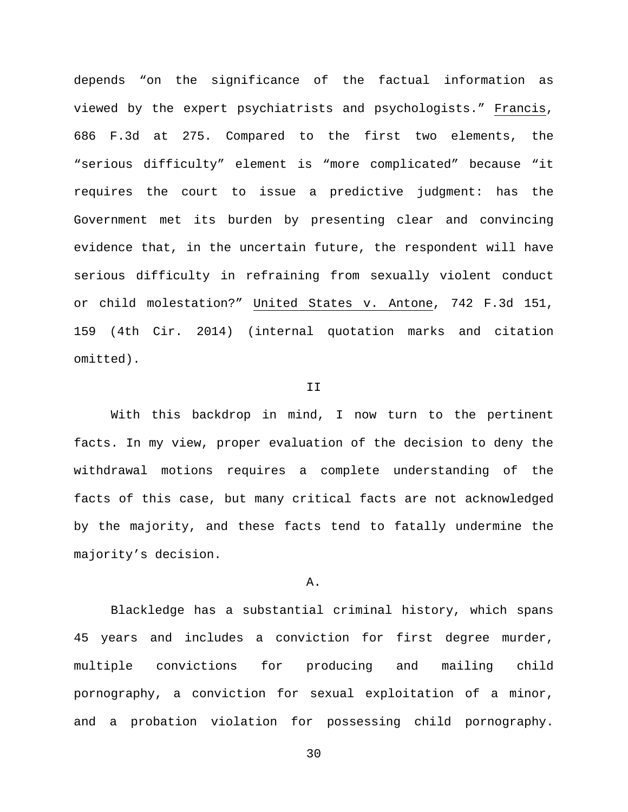depends "on the significance of the factual information as viewed by the expert psychiatrists and psychologists." Francis, 686 F.3d at 275. Compared to the first two elements, the "serious difficulty" element is "more complicated" because "it requires the court to issue a predictive judgment: has the Government met its burden by presenting clear and convincing evidence that, in the uncertain future, the respondent will have serious difficulty in refraining from sexually violent conduct or child molestation?" United States v. Antone, 742 F.3d 151, 159 (4th Cir. 2014) (internal quotation marks and citation omitted).

#### II

With this backdrop in mind, I now turn to the pertinent facts. In my view, proper evaluation of the decision to deny the withdrawal motions requires a complete understanding of the facts of this case, but many critical facts are not acknowledged by the majority, and these facts tend to fatally undermine the majority's decision.

# A.

Blackledge has a substantial criminal history, which spans 45 years and includes a conviction for first degree murder, multiple convictions for producing and mailing child pornography, a conviction for sexual exploitation of a minor, and a probation violation for possessing child pornography.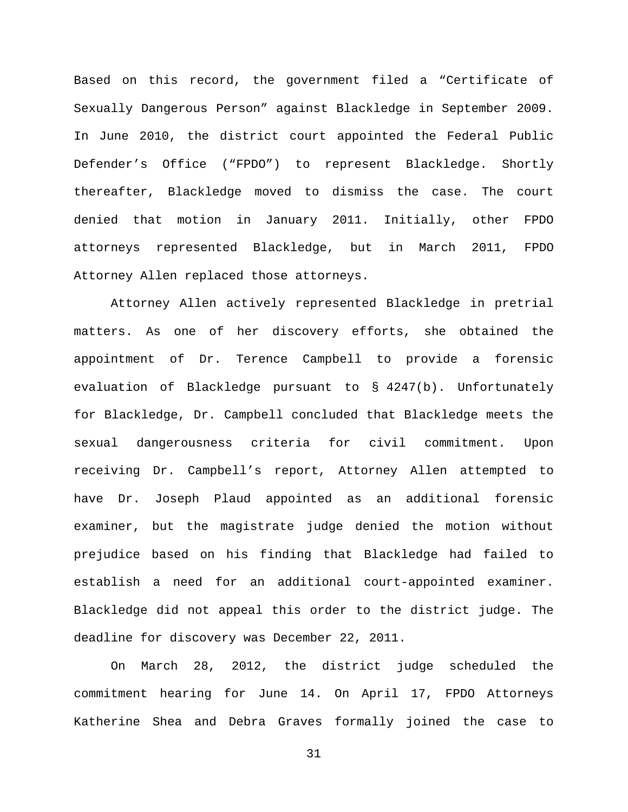Based on this record, the government filed a "Certificate of Sexually Dangerous Person" against Blackledge in September 2009. In June 2010, the district court appointed the Federal Public Defender's Office ("FPDO") to represent Blackledge. Shortly thereafter, Blackledge moved to dismiss the case. The court denied that motion in January 2011. Initially, other FPDO attorneys represented Blackledge, but in March 2011, FPDO Attorney Allen replaced those attorneys.

Attorney Allen actively represented Blackledge in pretrial matters. As one of her discovery efforts, she obtained the appointment of Dr. Terence Campbell to provide a forensic evaluation of Blackledge pursuant to § 4247(b). Unfortunately for Blackledge, Dr. Campbell concluded that Blackledge meets the sexual dangerousness criteria for civil commitment. Upon receiving Dr. Campbell's report, Attorney Allen attempted to have Dr. Joseph Plaud appointed as an additional forensic examiner, but the magistrate judge denied the motion without prejudice based on his finding that Blackledge had failed to establish a need for an additional court-appointed examiner. Blackledge did not appeal this order to the district judge. The deadline for discovery was December 22, 2011.

On March 28, 2012, the district judge scheduled the commitment hearing for June 14. On April 17, FPDO Attorneys Katherine Shea and Debra Graves formally joined the case to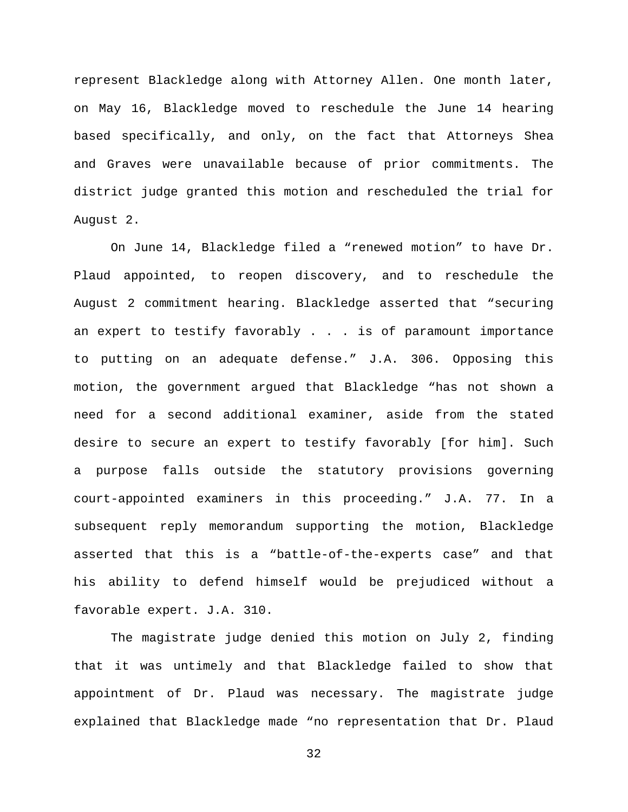represent Blackledge along with Attorney Allen. One month later, on May 16, Blackledge moved to reschedule the June 14 hearing based specifically, and only, on the fact that Attorneys Shea and Graves were unavailable because of prior commitments. The district judge granted this motion and rescheduled the trial for August 2.

On June 14, Blackledge filed a "renewed motion" to have Dr. Plaud appointed, to reopen discovery, and to reschedule the August 2 commitment hearing. Blackledge asserted that "securing an expert to testify favorably . . . is of paramount importance to putting on an adequate defense." J.A. 306. Opposing this motion, the government argued that Blackledge "has not shown a need for a second additional examiner, aside from the stated desire to secure an expert to testify favorably [for him]. Such a purpose falls outside the statutory provisions governing court-appointed examiners in this proceeding." J.A. 77. In a subsequent reply memorandum supporting the motion, Blackledge asserted that this is a "battle-of-the-experts case" and that his ability to defend himself would be prejudiced without a favorable expert. J.A. 310.

The magistrate judge denied this motion on July 2, finding that it was untimely and that Blackledge failed to show that appointment of Dr. Plaud was necessary. The magistrate judge explained that Blackledge made "no representation that Dr. Plaud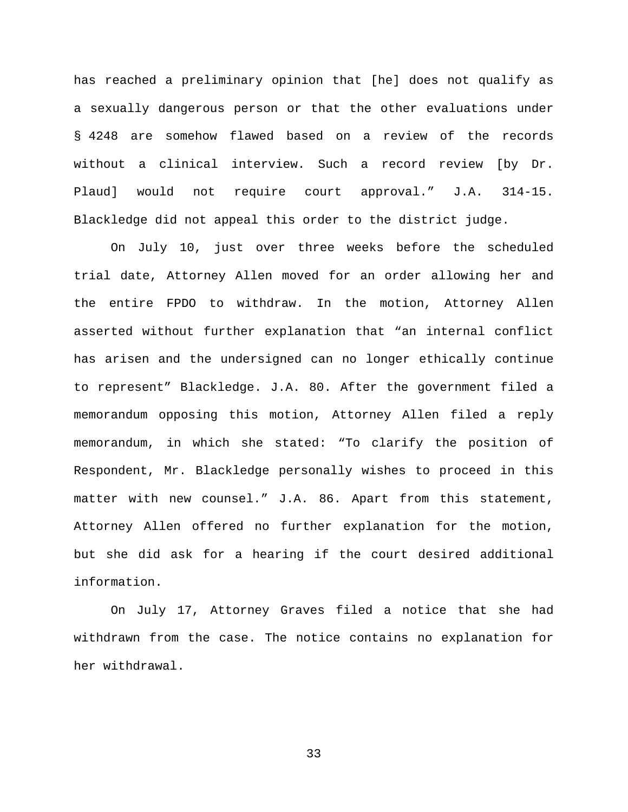has reached a preliminary opinion that [he] does not qualify as a sexually dangerous person or that the other evaluations under § 4248 are somehow flawed based on a review of the records without a clinical interview. Such a record review [by Dr. Plaud] would not require court approval." J.A. 314-15. Blackledge did not appeal this order to the district judge.

On July 10, just over three weeks before the scheduled trial date, Attorney Allen moved for an order allowing her and the entire FPDO to withdraw. In the motion, Attorney Allen asserted without further explanation that "an internal conflict has arisen and the undersigned can no longer ethically continue to represent" Blackledge. J.A. 80. After the government filed a memorandum opposing this motion, Attorney Allen filed a reply memorandum, in which she stated: "To clarify the position of Respondent, Mr. Blackledge personally wishes to proceed in this matter with new counsel." J.A. 86. Apart from this statement, Attorney Allen offered no further explanation for the motion, but she did ask for a hearing if the court desired additional information.

On July 17, Attorney Graves filed a notice that she had withdrawn from the case. The notice contains no explanation for her withdrawal.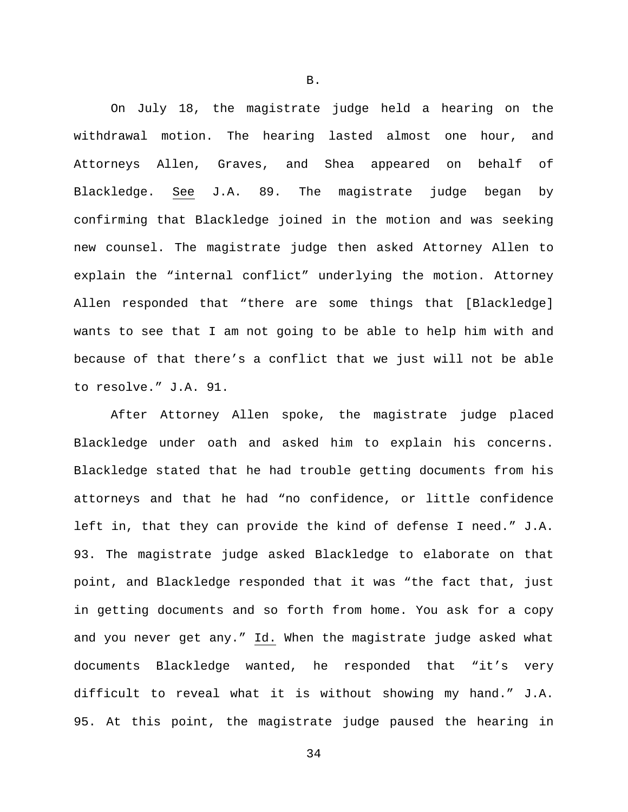On July 18, the magistrate judge held a hearing on the withdrawal motion. The hearing lasted almost one hour, and Attorneys Allen, Graves, and Shea appeared on behalf of Blackledge. See J.A. 89. The magistrate judge began by confirming that Blackledge joined in the motion and was seeking new counsel. The magistrate judge then asked Attorney Allen to explain the "internal conflict" underlying the motion. Attorney Allen responded that "there are some things that [Blackledge] wants to see that I am not going to be able to help him with and because of that there's a conflict that we just will not be able to resolve." J.A. 91.

After Attorney Allen spoke, the magistrate judge placed Blackledge under oath and asked him to explain his concerns. Blackledge stated that he had trouble getting documents from his attorneys and that he had "no confidence, or little confidence left in, that they can provide the kind of defense I need." J.A. 93. The magistrate judge asked Blackledge to elaborate on that point, and Blackledge responded that it was "the fact that, just in getting documents and so forth from home. You ask for a copy and you never get any." Id. When the magistrate judge asked what documents Blackledge wanted, he responded that "it's very difficult to reveal what it is without showing my hand." J.A. 95. At this point, the magistrate judge paused the hearing in

B.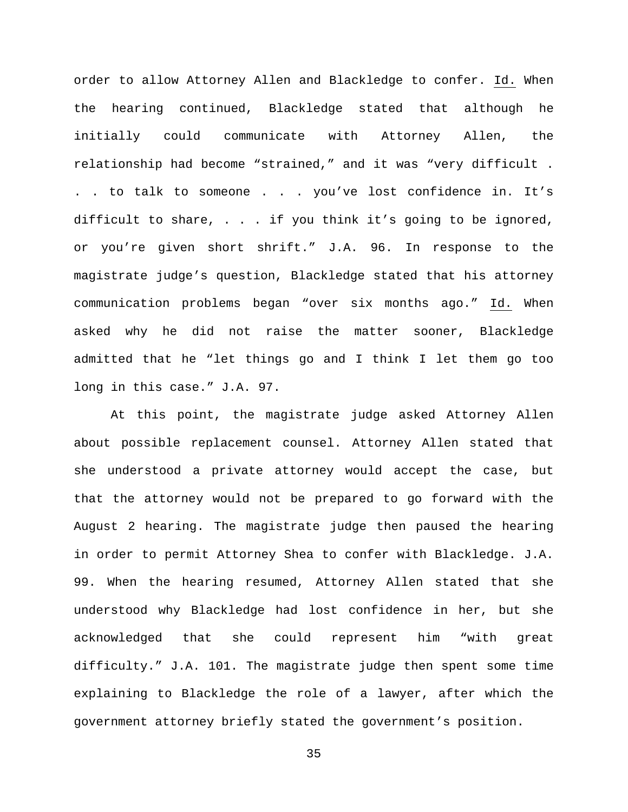order to allow Attorney Allen and Blackledge to confer. Id. When the hearing continued, Blackledge stated that although he initially could communicate with Attorney Allen, the relationship had become "strained," and it was "very difficult . . . to talk to someone . . . you've lost confidence in. It's difficult to share, . . . if you think it's going to be ignored, or you're given short shrift." J.A. 96. In response to the magistrate judge's question, Blackledge stated that his attorney communication problems began "over six months ago." Id. When asked why he did not raise the matter sooner, Blackledge admitted that he "let things go and I think I let them go too long in this case." J.A. 97.

At this point, the magistrate judge asked Attorney Allen about possible replacement counsel. Attorney Allen stated that she understood a private attorney would accept the case, but that the attorney would not be prepared to go forward with the August 2 hearing. The magistrate judge then paused the hearing in order to permit Attorney Shea to confer with Blackledge. J.A. 99. When the hearing resumed, Attorney Allen stated that she understood why Blackledge had lost confidence in her, but she acknowledged that she could represent him "with great difficulty." J.A. 101. The magistrate judge then spent some time explaining to Blackledge the role of a lawyer, after which the government attorney briefly stated the government's position.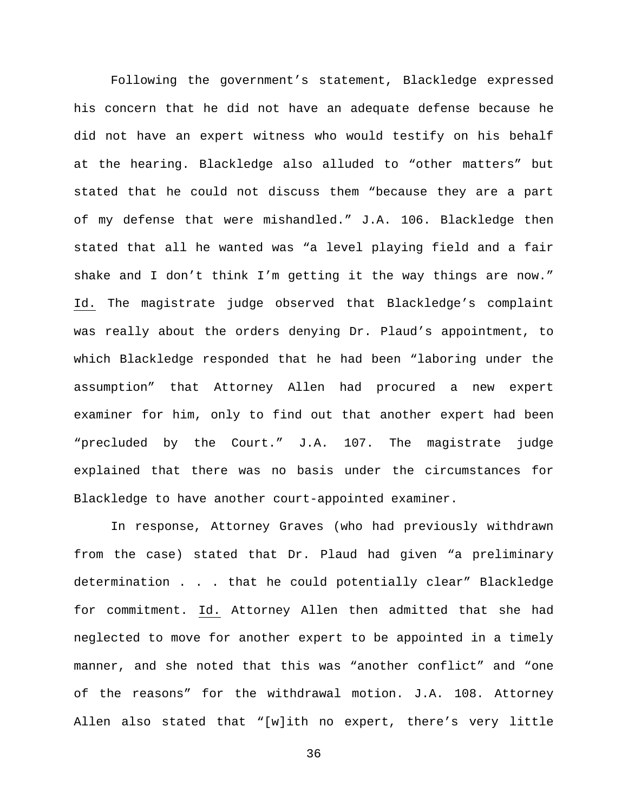Following the government's statement, Blackledge expressed his concern that he did not have an adequate defense because he did not have an expert witness who would testify on his behalf at the hearing. Blackledge also alluded to "other matters" but stated that he could not discuss them "because they are a part of my defense that were mishandled." J.A. 106. Blackledge then stated that all he wanted was "a level playing field and a fair shake and I don't think I'm getting it the way things are now." Id. The magistrate judge observed that Blackledge's complaint was really about the orders denying Dr. Plaud's appointment, to which Blackledge responded that he had been "laboring under the assumption" that Attorney Allen had procured a new expert examiner for him, only to find out that another expert had been "precluded by the Court." J.A. 107. The magistrate judge explained that there was no basis under the circumstances for Blackledge to have another court-appointed examiner.

In response, Attorney Graves (who had previously withdrawn from the case) stated that Dr. Plaud had given "a preliminary determination . . . that he could potentially clear" Blackledge for commitment. Id. Attorney Allen then admitted that she had neglected to move for another expert to be appointed in a timely manner, and she noted that this was "another conflict" and "one of the reasons" for the withdrawal motion. J.A. 108. Attorney Allen also stated that "[w]ith no expert, there's very little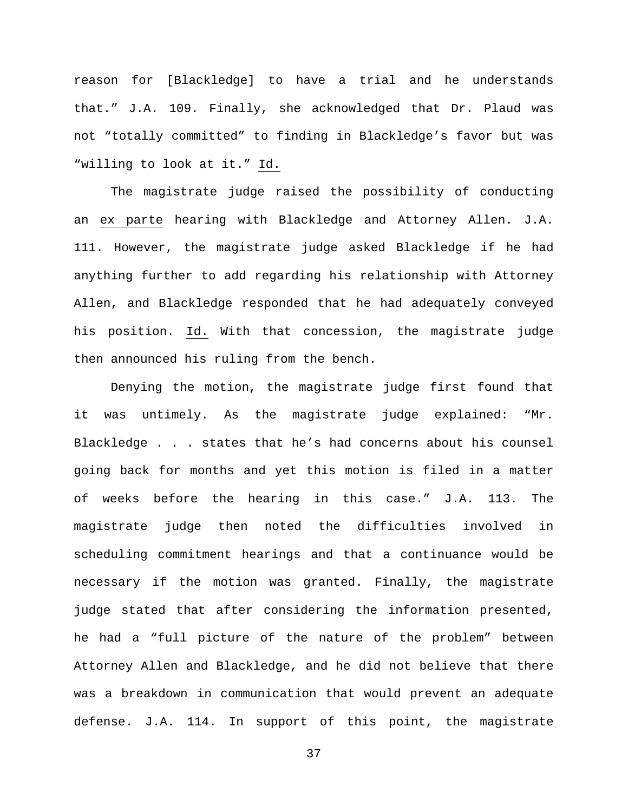reason for [Blackledge] to have a trial and he understands that." J.A. 109. Finally, she acknowledged that Dr. Plaud was not "totally committed" to finding in Blackledge's favor but was "willing to look at it." Id.

The magistrate judge raised the possibility of conducting an ex parte hearing with Blackledge and Attorney Allen. J.A. 111. However, the magistrate judge asked Blackledge if he had anything further to add regarding his relationship with Attorney Allen, and Blackledge responded that he had adequately conveyed his position. Id. With that concession, the magistrate judge then announced his ruling from the bench.

Denying the motion, the magistrate judge first found that it was untimely. As the magistrate judge explained: "Mr. Blackledge . . . states that he's had concerns about his counsel going back for months and yet this motion is filed in a matter of weeks before the hearing in this case." J.A. 113. The magistrate judge then noted the difficulties involved in scheduling commitment hearings and that a continuance would be necessary if the motion was granted. Finally, the magistrate judge stated that after considering the information presented, he had a "full picture of the nature of the problem" between Attorney Allen and Blackledge, and he did not believe that there was a breakdown in communication that would prevent an adequate defense. J.A. 114. In support of this point, the magistrate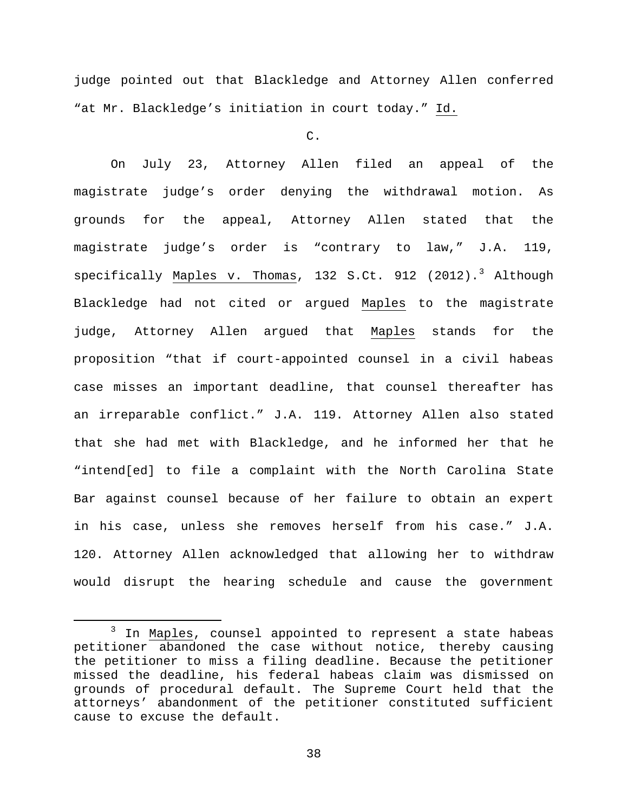judge pointed out that Blackledge and Attorney Allen conferred "at Mr. Blackledge's initiation in court today." Id.

# C.

On July 23, Attorney Allen filed an appeal of the magistrate judge's order denying the withdrawal motion. As grounds for the appeal, Attorney Allen stated that the magistrate judge's order is "contrary to law," J.A. 119, specifically Maples v. Thomas, 1[3](#page-37-0)2 S.Ct. 912 (2012).<sup>3</sup> Although Blackledge had not cited or argued Maples to the magistrate judge, Attorney Allen argued that Maples stands for the proposition "that if court-appointed counsel in a civil habeas case misses an important deadline, that counsel thereafter has an irreparable conflict." J.A. 119. Attorney Allen also stated that she had met with Blackledge, and he informed her that he "intend[ed] to file a complaint with the North Carolina State Bar against counsel because of her failure to obtain an expert in his case, unless she removes herself from his case." J.A. 120. Attorney Allen acknowledged that allowing her to withdraw would disrupt the hearing schedule and cause the government

<span id="page-37-0"></span><sup>&</sup>lt;sup>3</sup> In Maples, counsel appointed to represent a state habeas petitioner abandoned the case without notice, thereby causing the petitioner to miss a filing deadline. Because the petitioner missed the deadline, his federal habeas claim was dismissed on grounds of procedural default. The Supreme Court held that the attorneys' abandonment of the petitioner constituted sufficient cause to excuse the default.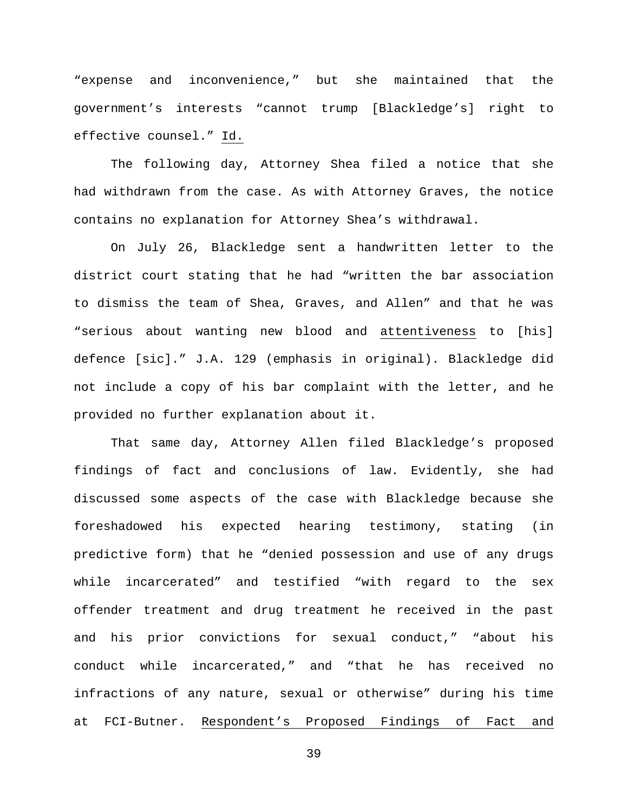"expense and inconvenience," but she maintained that the government's interests "cannot trump [Blackledge's] right to effective counsel." Id.

The following day, Attorney Shea filed a notice that she had withdrawn from the case. As with Attorney Graves, the notice contains no explanation for Attorney Shea's withdrawal.

On July 26, Blackledge sent a handwritten letter to the district court stating that he had "written the bar association to dismiss the team of Shea, Graves, and Allen" and that he was "serious about wanting new blood and attentiveness to [his] defence [sic]." J.A. 129 (emphasis in original). Blackledge did not include a copy of his bar complaint with the letter, and he provided no further explanation about it.

That same day, Attorney Allen filed Blackledge's proposed findings of fact and conclusions of law. Evidently, she had discussed some aspects of the case with Blackledge because she foreshadowed his expected hearing testimony, stating (in predictive form) that he "denied possession and use of any drugs while incarcerated" and testified "with regard to the sex offender treatment and drug treatment he received in the past and his prior convictions for sexual conduct," "about his conduct while incarcerated," and "that he has received no infractions of any nature, sexual or otherwise" during his time at FCI-Butner. Respondent's Proposed Findings of Fact and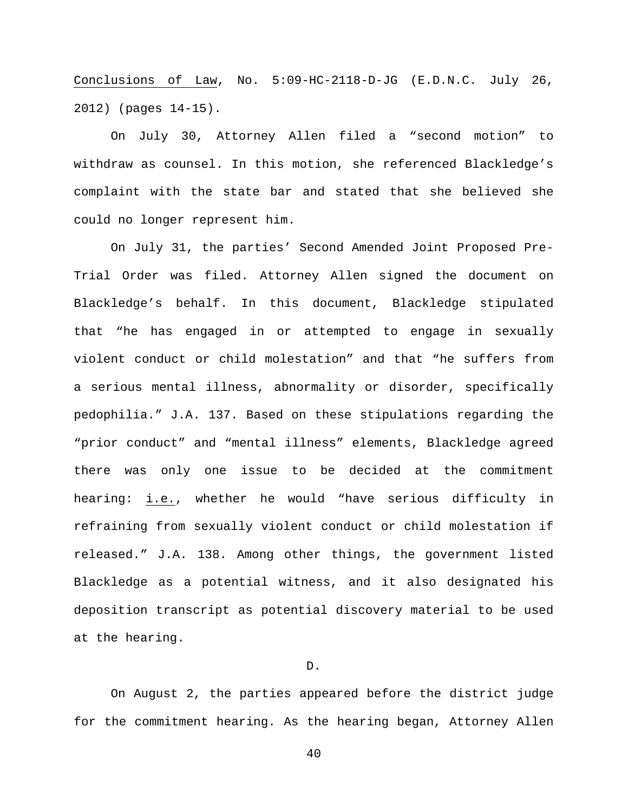Conclusions of Law, No. 5:09-HC-2118-D-JG (E.D.N.C. July 26, 2012) (pages 14-15).

On July 30, Attorney Allen filed a "second motion" to withdraw as counsel. In this motion, she referenced Blackledge's complaint with the state bar and stated that she believed she could no longer represent him.

On July 31, the parties' Second Amended Joint Proposed Pre-Trial Order was filed. Attorney Allen signed the document on Blackledge's behalf. In this document, Blackledge stipulated that "he has engaged in or attempted to engage in sexually violent conduct or child molestation" and that "he suffers from a serious mental illness, abnormality or disorder, specifically pedophilia." J.A. 137. Based on these stipulations regarding the "prior conduct" and "mental illness" elements, Blackledge agreed there was only one issue to be decided at the commitment hearing: i.e., whether he would "have serious difficulty in refraining from sexually violent conduct or child molestation if released." J.A. 138. Among other things, the government listed Blackledge as a potential witness, and it also designated his deposition transcript as potential discovery material to be used at the hearing.

## D.

On August 2, the parties appeared before the district judge for the commitment hearing. As the hearing began, Attorney Allen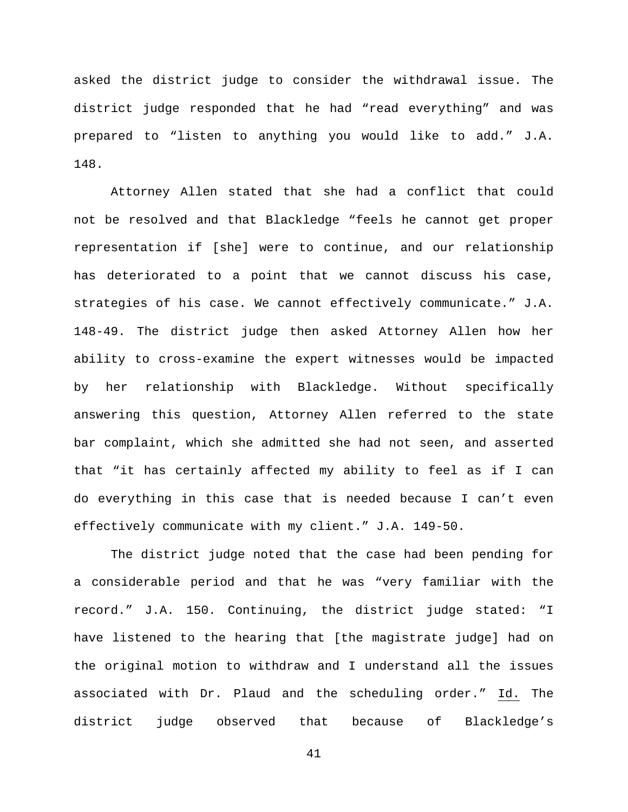asked the district judge to consider the withdrawal issue. The district judge responded that he had "read everything" and was prepared to "listen to anything you would like to add." J.A. 148.

Attorney Allen stated that she had a conflict that could not be resolved and that Blackledge "feels he cannot get proper representation if [she] were to continue, and our relationship has deteriorated to a point that we cannot discuss his case, strategies of his case. We cannot effectively communicate." J.A. 148-49. The district judge then asked Attorney Allen how her ability to cross-examine the expert witnesses would be impacted by her relationship with Blackledge. Without specifically answering this question, Attorney Allen referred to the state bar complaint, which she admitted she had not seen, and asserted that "it has certainly affected my ability to feel as if I can do everything in this case that is needed because I can't even effectively communicate with my client." J.A. 149-50.

The district judge noted that the case had been pending for a considerable period and that he was "very familiar with the record." J.A. 150. Continuing, the district judge stated: "I have listened to the hearing that [the magistrate judge] had on the original motion to withdraw and I understand all the issues associated with Dr. Plaud and the scheduling order." Id. The district judge observed that because of Blackledge's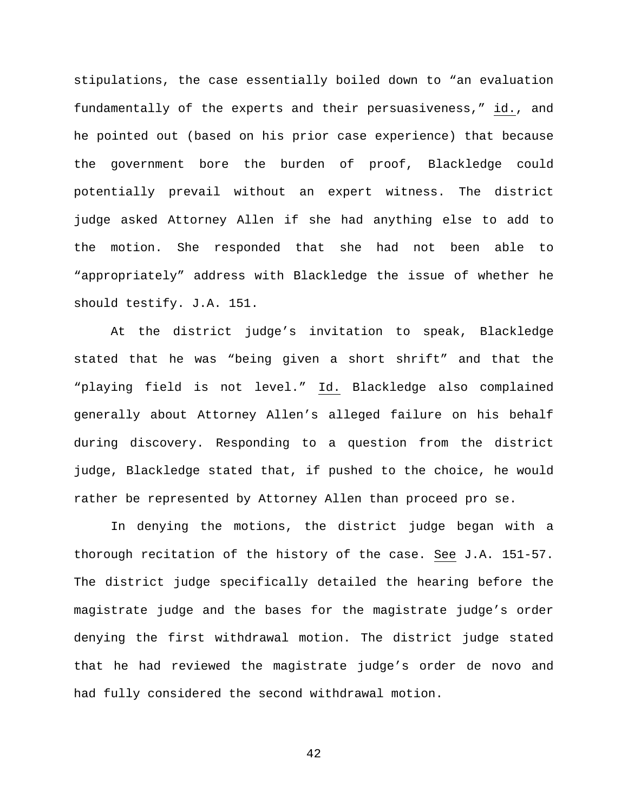stipulations, the case essentially boiled down to "an evaluation fundamentally of the experts and their persuasiveness," id., and he pointed out (based on his prior case experience) that because the government bore the burden of proof, Blackledge could potentially prevail without an expert witness. The district judge asked Attorney Allen if she had anything else to add to the motion. She responded that she had not been able to "appropriately" address with Blackledge the issue of whether he should testify. J.A. 151.

At the district judge's invitation to speak, Blackledge stated that he was "being given a short shrift" and that the "playing field is not level." Id. Blackledge also complained generally about Attorney Allen's alleged failure on his behalf during discovery. Responding to a question from the district judge, Blackledge stated that, if pushed to the choice, he would rather be represented by Attorney Allen than proceed pro se.

In denying the motions, the district judge began with a thorough recitation of the history of the case. See J.A. 151-57. The district judge specifically detailed the hearing before the magistrate judge and the bases for the magistrate judge's order denying the first withdrawal motion. The district judge stated that he had reviewed the magistrate judge's order de novo and had fully considered the second withdrawal motion.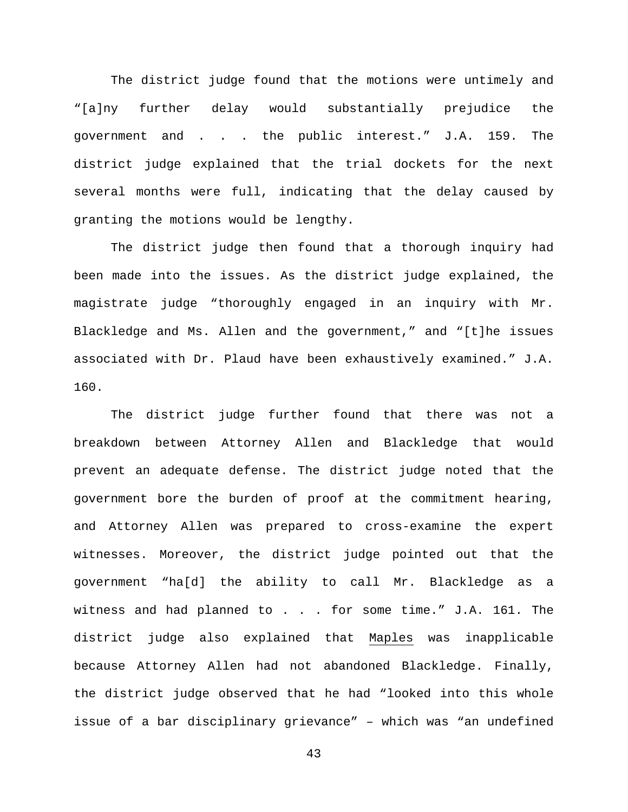The district judge found that the motions were untimely and "[a]ny further delay would substantially prejudice the government and . . . the public interest." J.A. 159. The district judge explained that the trial dockets for the next several months were full, indicating that the delay caused by granting the motions would be lengthy.

The district judge then found that a thorough inquiry had been made into the issues. As the district judge explained, the magistrate judge "thoroughly engaged in an inquiry with Mr. Blackledge and Ms. Allen and the government," and "[t]he issues associated with Dr. Plaud have been exhaustively examined." J.A. 160.

The district judge further found that there was not a breakdown between Attorney Allen and Blackledge that would prevent an adequate defense. The district judge noted that the government bore the burden of proof at the commitment hearing, and Attorney Allen was prepared to cross-examine the expert witnesses. Moreover, the district judge pointed out that the government "ha[d] the ability to call Mr. Blackledge as a witness and had planned to . . . for some time." J.A. 161. The district judge also explained that Maples was inapplicable because Attorney Allen had not abandoned Blackledge. Finally, the district judge observed that he had "looked into this whole issue of a bar disciplinary grievance" – which was "an undefined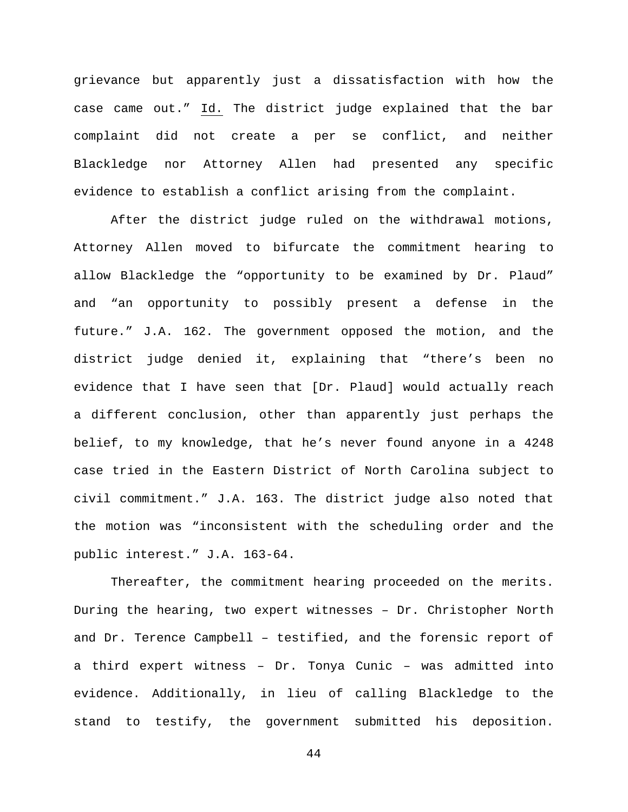grievance but apparently just a dissatisfaction with how the case came out." Id. The district judge explained that the bar complaint did not create a per se conflict, and neither Blackledge nor Attorney Allen had presented any specific evidence to establish a conflict arising from the complaint.

After the district judge ruled on the withdrawal motions, Attorney Allen moved to bifurcate the commitment hearing to allow Blackledge the "opportunity to be examined by Dr. Plaud" and "an opportunity to possibly present a defense in the future." J.A. 162. The government opposed the motion, and the district judge denied it, explaining that "there's been no evidence that I have seen that [Dr. Plaud] would actually reach a different conclusion, other than apparently just perhaps the belief, to my knowledge, that he's never found anyone in a 4248 case tried in the Eastern District of North Carolina subject to civil commitment." J.A. 163. The district judge also noted that the motion was "inconsistent with the scheduling order and the public interest." J.A. 163-64.

Thereafter, the commitment hearing proceeded on the merits. During the hearing, two expert witnesses – Dr. Christopher North and Dr. Terence Campbell – testified, and the forensic report of a third expert witness – Dr. Tonya Cunic – was admitted into evidence. Additionally, in lieu of calling Blackledge to the stand to testify, the government submitted his deposition.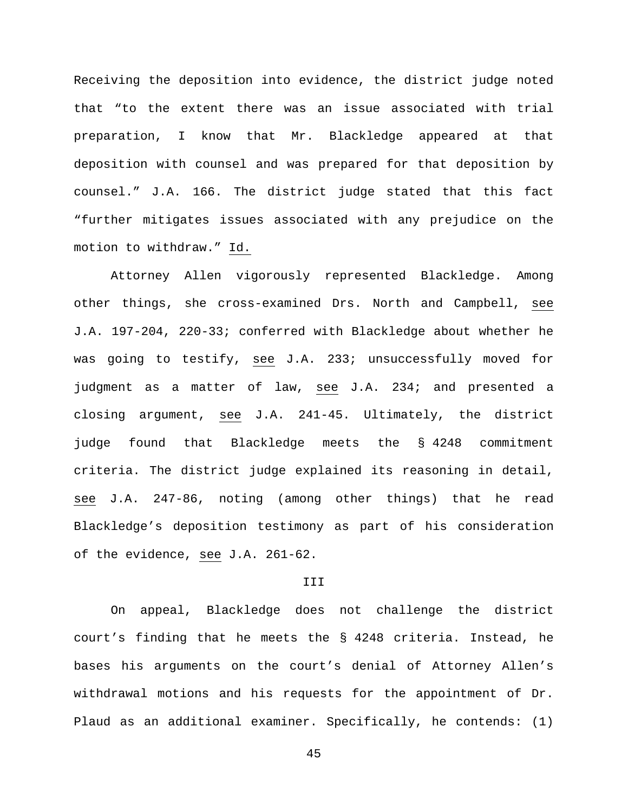Receiving the deposition into evidence, the district judge noted that "to the extent there was an issue associated with trial preparation, I know that Mr. Blackledge appeared at that deposition with counsel and was prepared for that deposition by counsel." J.A. 166. The district judge stated that this fact "further mitigates issues associated with any prejudice on the motion to withdraw." Id.

Attorney Allen vigorously represented Blackledge. Among other things, she cross-examined Drs. North and Campbell, see J.A. 197-204, 220-33; conferred with Blackledge about whether he was going to testify, see J.A. 233; unsuccessfully moved for judgment as a matter of law, see J.A. 234; and presented a closing argument, see J.A. 241-45. Ultimately, the district judge found that Blackledge meets the § 4248 commitment criteria. The district judge explained its reasoning in detail, see J.A. 247-86, noting (among other things) that he read Blackledge's deposition testimony as part of his consideration of the evidence, see J.A. 261-62.

## III

On appeal, Blackledge does not challenge the district court's finding that he meets the § 4248 criteria. Instead, he bases his arguments on the court's denial of Attorney Allen's withdrawal motions and his requests for the appointment of Dr. Plaud as an additional examiner. Specifically, he contends: (1)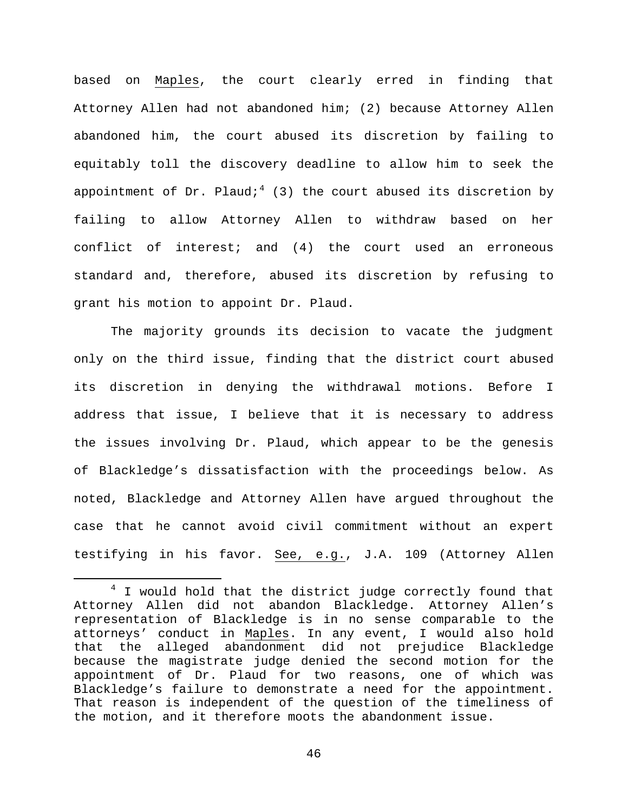based on Maples, the court clearly erred in finding that Attorney Allen had not abandoned him; (2) because Attorney Allen abandoned him, the court abused its discretion by failing to equitably toll the discovery deadline to allow him to seek the appointment of Dr. Plaud;<sup>[4](#page-45-0)</sup> (3) the court abused its discretion by failing to allow Attorney Allen to withdraw based on her conflict of interest; and (4) the court used an erroneous standard and, therefore, abused its discretion by refusing to grant his motion to appoint Dr. Plaud.

The majority grounds its decision to vacate the judgment only on the third issue, finding that the district court abused its discretion in denying the withdrawal motions. Before I address that issue, I believe that it is necessary to address the issues involving Dr. Plaud, which appear to be the genesis of Blackledge's dissatisfaction with the proceedings below. As noted, Blackledge and Attorney Allen have argued throughout the case that he cannot avoid civil commitment without an expert testifying in his favor. See, e.g., J.A. 109 (Attorney Allen

<span id="page-45-0"></span> $4$  I would hold that the district judge correctly found that Attorney Allen did not abandon Blackledge. Attorney Allen's representation of Blackledge is in no sense comparable to the attorneys' conduct in Maples. In any event, I would also hold that the alleged abandonment did not prejudice Blackledge because the magistrate judge denied the second motion for the appointment of Dr. Plaud for two reasons, one of which was Blackledge's failure to demonstrate a need for the appointment. That reason is independent of the question of the timeliness of the motion, and it therefore moots the abandonment issue.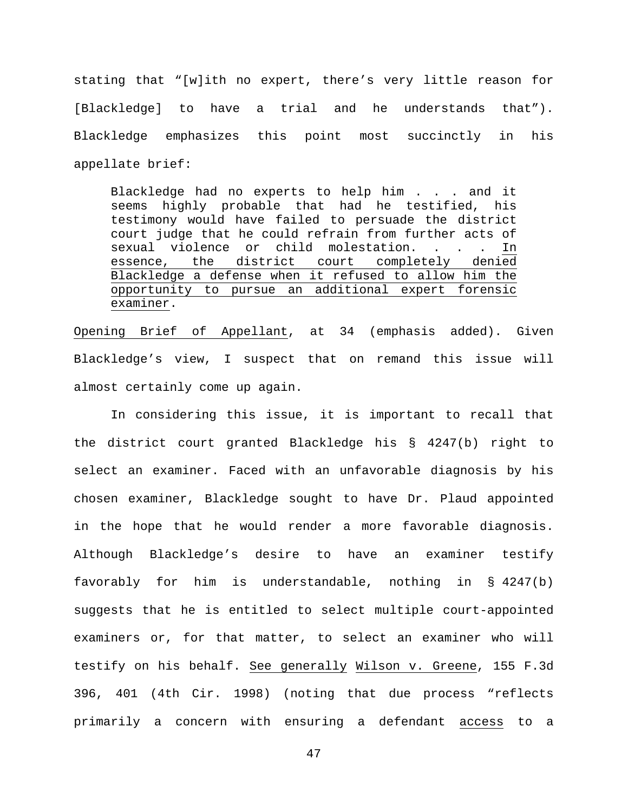stating that "[w]ith no expert, there's very little reason for [Blackledge] to have a trial and he understands that"). Blackledge emphasizes this point most succinctly in his appellate brief:

Blackledge had no experts to help him . . . and it seems highly probable that had he testified, his testimony would have failed to persuade the district court judge that he could refrain from further acts of sexual violence or child molestation. . . . In essence, the district court completely denied Blackledge a defense when it refused to allow him the opportunity to pursue an additional expert forensic examiner.

Opening Brief of Appellant, at 34 (emphasis added). Given Blackledge's view, I suspect that on remand this issue will almost certainly come up again.

In considering this issue, it is important to recall that the district court granted Blackledge his § 4247(b) right to select an examiner. Faced with an unfavorable diagnosis by his chosen examiner, Blackledge sought to have Dr. Plaud appointed in the hope that he would render a more favorable diagnosis. Although Blackledge's desire to have an examiner testify favorably for him is understandable, nothing in § 4247(b) suggests that he is entitled to select multiple court-appointed examiners or, for that matter, to select an examiner who will testify on his behalf. See generally Wilson v. Greene, 155 F.3d 396, 401 (4th Cir. 1998) (noting that due process "reflects primarily a concern with ensuring a defendant access to a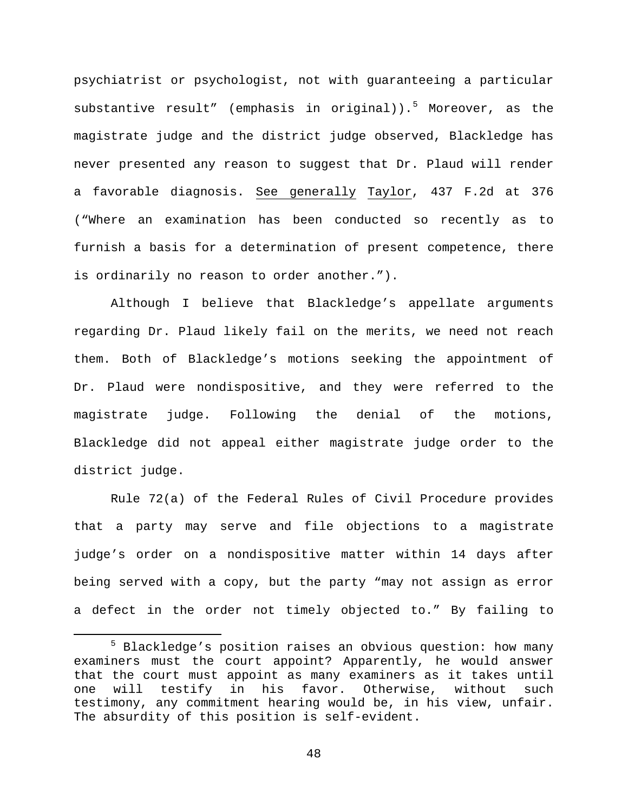psychiatrist or psychologist, not with guaranteeing a particular substantive result" (emphasis in original)).<sup>[5](#page-47-0)</sup> Moreover, as the magistrate judge and the district judge observed, Blackledge has never presented any reason to suggest that Dr. Plaud will render a favorable diagnosis. See generally Taylor, 437 F.2d at 376 ("Where an examination has been conducted so recently as to furnish a basis for a determination of present competence, there is ordinarily no reason to order another.").

Although I believe that Blackledge's appellate arguments regarding Dr. Plaud likely fail on the merits, we need not reach them. Both of Blackledge's motions seeking the appointment of Dr. Plaud were nondispositive, and they were referred to the magistrate judge. Following the denial of the motions, Blackledge did not appeal either magistrate judge order to the district judge.

Rule 72(a) of the Federal Rules of Civil Procedure provides that a party may serve and file objections to a magistrate judge's order on a nondispositive matter within 14 days after being served with a copy, but the party "may not assign as error a defect in the order not timely objected to." By failing to

<span id="page-47-0"></span> <sup>5</sup> Blackledge's position raises an obvious question: how many examiners must the court appoint? Apparently, he would answer that the court must appoint as many examiners as it takes until one will testify in his favor. Otherwise, without such testimony, any commitment hearing would be, in his view, unfair. The absurdity of this position is self-evident.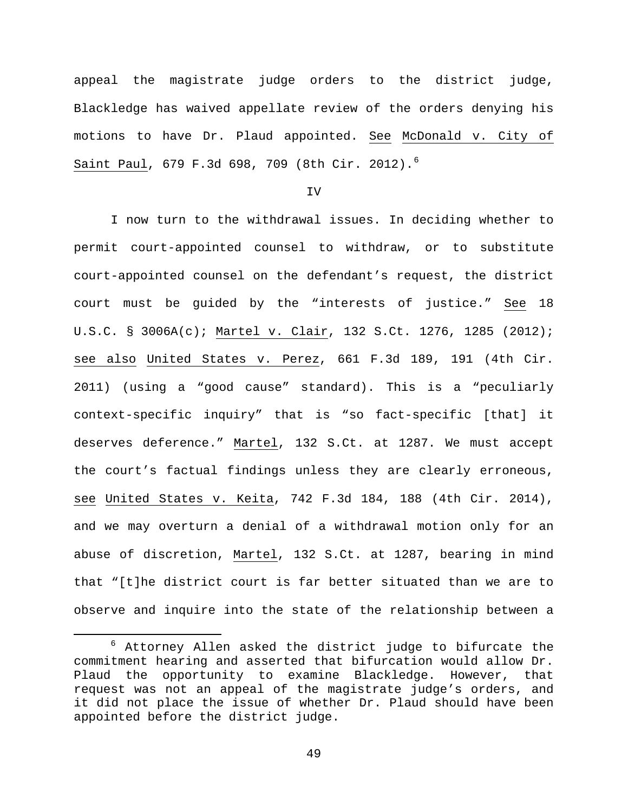appeal the magistrate judge orders to the district judge, Blackledge has waived appellate review of the orders denying his motions to have Dr. Plaud appointed. See McDonald v. City of Saint Paul, [6](#page-48-0)79 F.3d 698, 709 (8th Cir. 2012).<sup>6</sup>

### IV

I now turn to the withdrawal issues. In deciding whether to permit court-appointed counsel to withdraw, or to substitute court-appointed counsel on the defendant's request, the district court must be guided by the "interests of justice." See 18 U.S.C. § 3006A(c); Martel v. Clair, 132 S.Ct. 1276, 1285 (2012); see also United States v. Perez, 661 F.3d 189, 191 (4th Cir. 2011) (using a "good cause" standard). This is a "peculiarly context-specific inquiry" that is "so fact-specific [that] it deserves deference." Martel, 132 S.Ct. at 1287. We must accept the court's factual findings unless they are clearly erroneous, see United States v. Keita, 742 F.3d 184, 188 (4th Cir. 2014), and we may overturn a denial of a withdrawal motion only for an abuse of discretion, Martel, 132 S.Ct. at 1287, bearing in mind that "[t]he district court is far better situated than we are to observe and inquire into the state of the relationship between a

<span id="page-48-0"></span> $6$  Attorney Allen asked the district judge to bifurcate the commitment hearing and asserted that bifurcation would allow Dr. Plaud the opportunity to examine Blackledge. However, that request was not an appeal of the magistrate judge's orders, and it did not place the issue of whether Dr. Plaud should have been appointed before the district judge.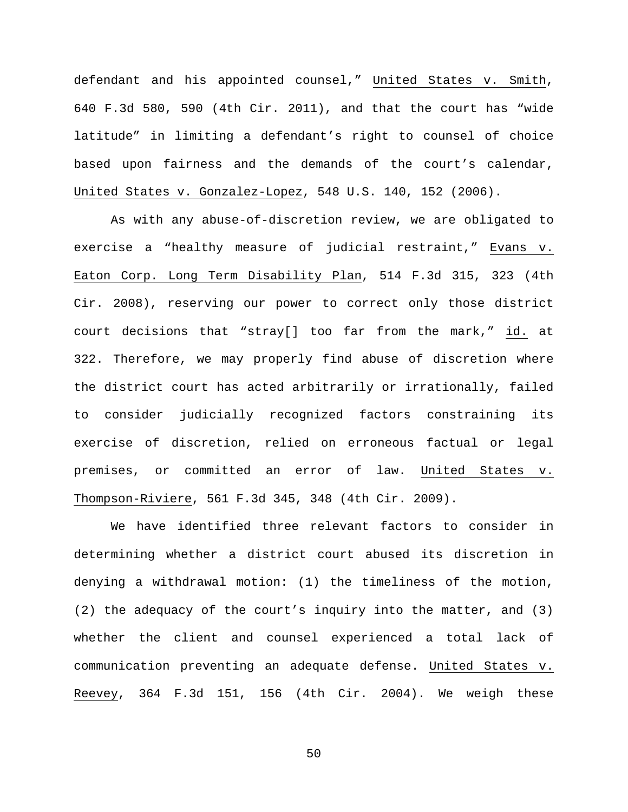defendant and his appointed counsel," United States v. Smith, 640 F.3d 580, 590 (4th Cir. 2011), and that the court has "wide latitude" in limiting a defendant's right to counsel of choice based upon fairness and the demands of the court's calendar, United States v. Gonzalez-Lopez, 548 U.S. 140, 152 (2006).

As with any abuse-of-discretion review, we are obligated to exercise a "healthy measure of judicial restraint," Evans v. Eaton Corp. Long Term Disability Plan, 514 F.3d 315, 323 (4th Cir. 2008), reserving our power to correct only those district court decisions that "stray[] too far from the mark," id. at 322. Therefore, we may properly find abuse of discretion where the district court has acted arbitrarily or irrationally, failed to consider judicially recognized factors constraining its exercise of discretion, relied on erroneous factual or legal premises, or committed an error of law. United States v. Thompson-Riviere, 561 F.3d 345, 348 (4th Cir. 2009).

We have identified three relevant factors to consider in determining whether a district court abused its discretion in denying a withdrawal motion: (1) the timeliness of the motion, (2) the adequacy of the court's inquiry into the matter, and (3) whether the client and counsel experienced a total lack of communication preventing an adequate defense. United States v. Reevey, 364 F.3d 151, 156 (4th Cir. 2004). We weigh these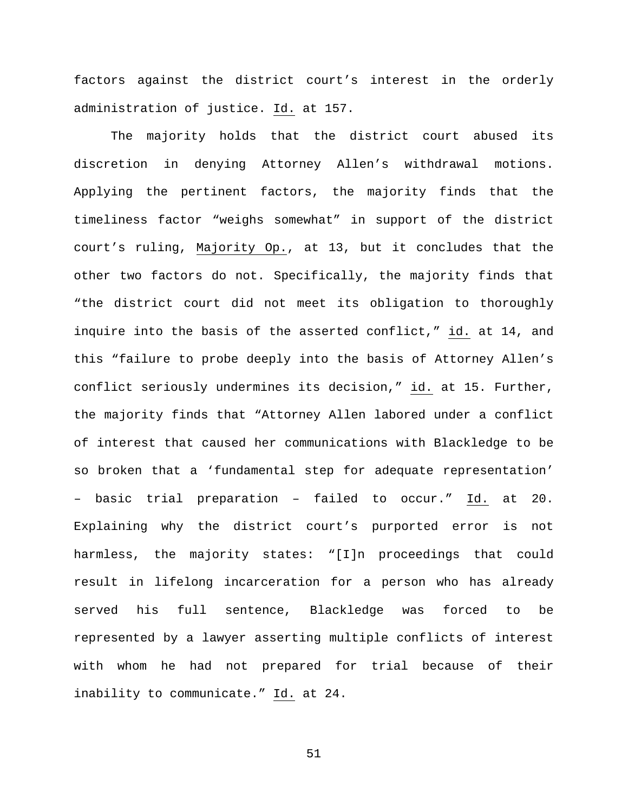factors against the district court's interest in the orderly administration of justice. Id. at 157.

The majority holds that the district court abused its discretion in denying Attorney Allen's withdrawal motions. Applying the pertinent factors, the majority finds that the timeliness factor "weighs somewhat" in support of the district court's ruling, Majority Op., at 13, but it concludes that the other two factors do not. Specifically, the majority finds that "the district court did not meet its obligation to thoroughly inquire into the basis of the asserted conflict," id. at 14, and this "failure to probe deeply into the basis of Attorney Allen's conflict seriously undermines its decision," id. at 15. Further, the majority finds that "Attorney Allen labored under a conflict of interest that caused her communications with Blackledge to be so broken that a 'fundamental step for adequate representation' – basic trial preparation – failed to occur." Id. at 20. Explaining why the district court's purported error is not harmless, the majority states: "[I]n proceedings that could result in lifelong incarceration for a person who has already served his full sentence, Blackledge was forced to be represented by a lawyer asserting multiple conflicts of interest with whom he had not prepared for trial because of their inability to communicate." Id. at 24.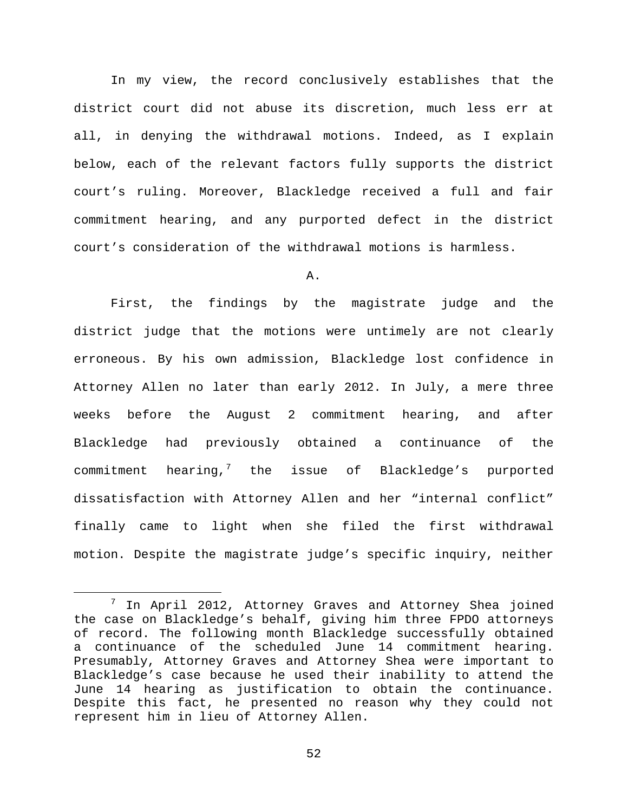In my view, the record conclusively establishes that the district court did not abuse its discretion, much less err at all, in denying the withdrawal motions. Indeed, as I explain below, each of the relevant factors fully supports the district court's ruling. Moreover, Blackledge received a full and fair commitment hearing, and any purported defect in the district court's consideration of the withdrawal motions is harmless.

A.

First, the findings by the magistrate judge and the district judge that the motions were untimely are not clearly erroneous. By his own admission, Blackledge lost confidence in Attorney Allen no later than early 2012. In July, a mere three weeks before the August 2 commitment hearing, and after Blackledge had previously obtained a continuance of the commitment hearing,<sup>[7](#page-51-0)</sup> the issue of Blackledge's purported dissatisfaction with Attorney Allen and her "internal conflict" finally came to light when she filed the first withdrawal motion. Despite the magistrate judge's specific inquiry, neither

<span id="page-51-0"></span> <sup>7</sup> In April 2012, Attorney Graves and Attorney Shea joined the case on Blackledge's behalf, giving him three FPDO attorneys of record. The following month Blackledge successfully obtained a continuance of the scheduled June 14 commitment hearing. Presumably, Attorney Graves and Attorney Shea were important to Blackledge's case because he used their inability to attend the June 14 hearing as justification to obtain the continuance. Despite this fact, he presented no reason why they could not represent him in lieu of Attorney Allen.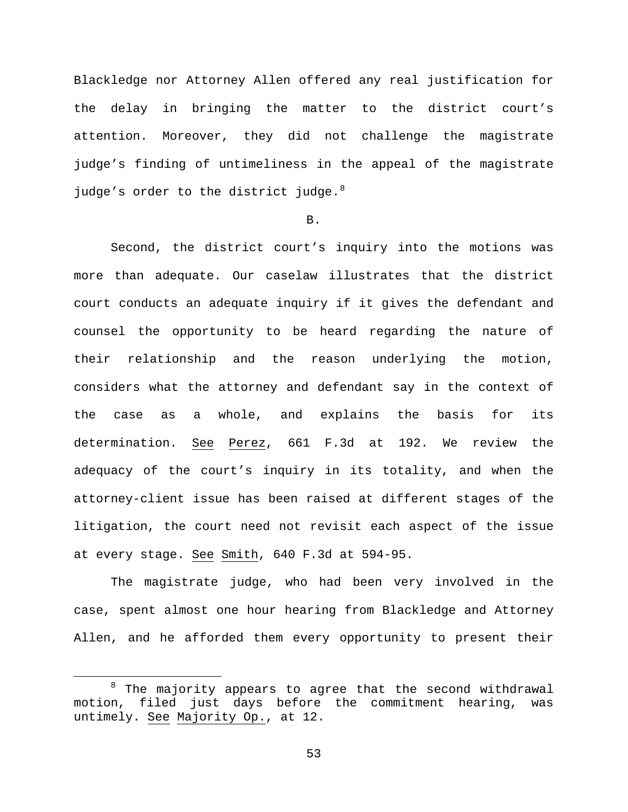Blackledge nor Attorney Allen offered any real justification for the delay in bringing the matter to the district court's attention. Moreover, they did not challenge the magistrate judge's finding of untimeliness in the appeal of the magistrate judge's order to the district judge.<sup>[8](#page-52-0)</sup>

## B.

Second, the district court's inquiry into the motions was more than adequate. Our caselaw illustrates that the district court conducts an adequate inquiry if it gives the defendant and counsel the opportunity to be heard regarding the nature of their relationship and the reason underlying the motion, considers what the attorney and defendant say in the context of the case as a whole, and explains the basis for its determination. See Perez, 661 F.3d at 192. We review the adequacy of the court's inquiry in its totality, and when the attorney-client issue has been raised at different stages of the litigation, the court need not revisit each aspect of the issue at every stage. See Smith, 640 F.3d at 594-95.

The magistrate judge, who had been very involved in the case, spent almost one hour hearing from Blackledge and Attorney Allen, and he afforded them every opportunity to present their

<span id="page-52-0"></span> $8$  The majority appears to agree that the second withdrawal motion, filed just days before the commitment hearing, was untimely. See Majority Op., at 12.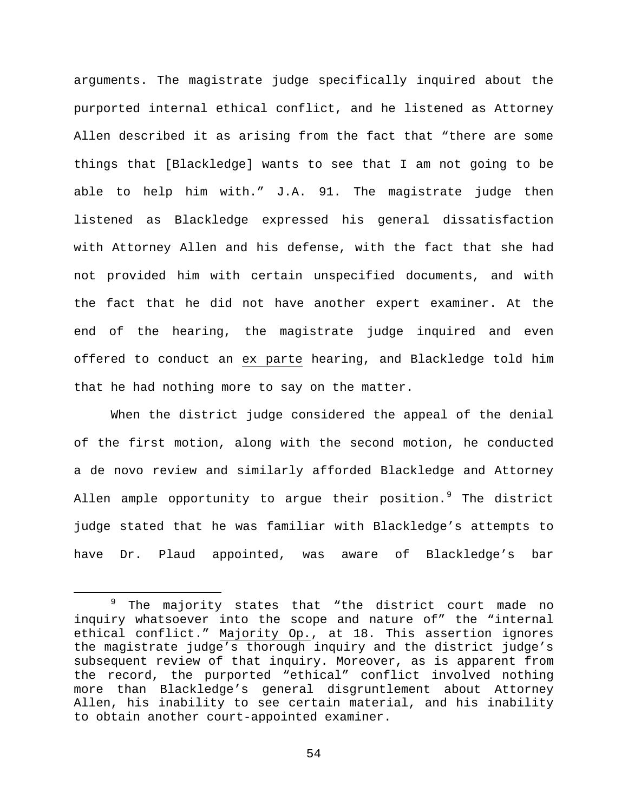arguments. The magistrate judge specifically inquired about the purported internal ethical conflict, and he listened as Attorney Allen described it as arising from the fact that "there are some things that [Blackledge] wants to see that I am not going to be able to help him with." J.A. 91. The magistrate judge then listened as Blackledge expressed his general dissatisfaction with Attorney Allen and his defense, with the fact that she had not provided him with certain unspecified documents, and with the fact that he did not have another expert examiner. At the end of the hearing, the magistrate judge inquired and even offered to conduct an ex parte hearing, and Blackledge told him that he had nothing more to say on the matter.

When the district judge considered the appeal of the denial of the first motion, along with the second motion, he conducted a de novo review and similarly afforded Blackledge and Attorney Allen ample opportunity to argue their position. <sup>[9](#page-53-0)</sup> The district judge stated that he was familiar with Blackledge's attempts to have Dr. Plaud appointed, was aware of Blackledge's bar

<span id="page-53-0"></span><sup>&</sup>lt;sup>9</sup> The majority states that "the district court made no inquiry whatsoever into the scope and nature of" the "internal ethical conflict." Majority Op., at 18. This assertion ignores the magistrate judge's thorough inquiry and the district judge's subsequent review of that inquiry. Moreover, as is apparent from the record, the purported "ethical" conflict involved nothing more than Blackledge's general disgruntlement about Attorney Allen, his inability to see certain material, and his inability to obtain another court-appointed examiner.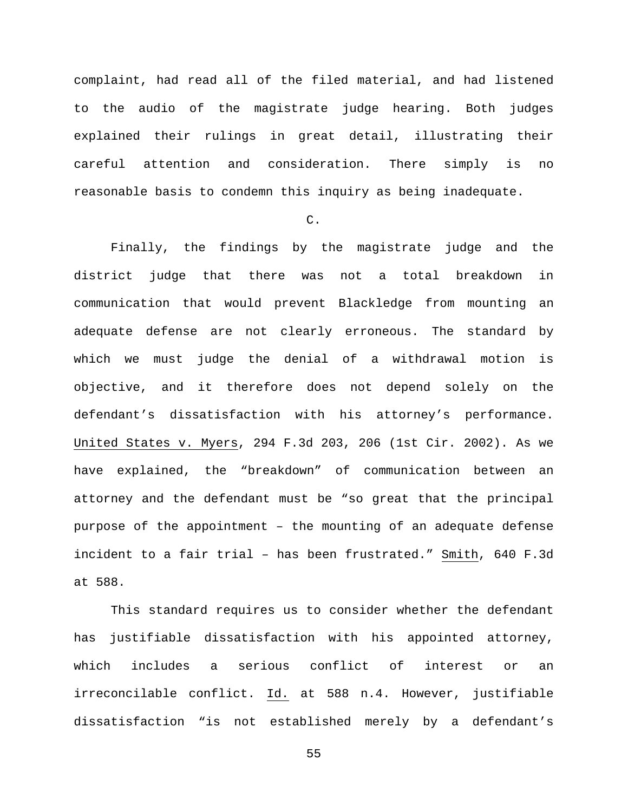complaint, had read all of the filed material, and had listened to the audio of the magistrate judge hearing. Both judges explained their rulings in great detail, illustrating their careful attention and consideration. There simply is no reasonable basis to condemn this inquiry as being inadequate.

C.

Finally, the findings by the magistrate judge and the district judge that there was not a total breakdown in communication that would prevent Blackledge from mounting an adequate defense are not clearly erroneous. The standard by which we must judge the denial of a withdrawal motion is objective, and it therefore does not depend solely on the defendant's dissatisfaction with his attorney's performance. United States v. Myers, 294 F.3d 203, 206 (1st Cir. 2002). As we have explained, the "breakdown" of communication between an attorney and the defendant must be "so great that the principal purpose of the appointment – the mounting of an adequate defense incident to a fair trial – has been frustrated." Smith, 640 F.3d at 588.

This standard requires us to consider whether the defendant has justifiable dissatisfaction with his appointed attorney, which includes a serious conflict of interest or an irreconcilable conflict. Id. at 588 n.4. However, justifiable dissatisfaction "is not established merely by a defendant's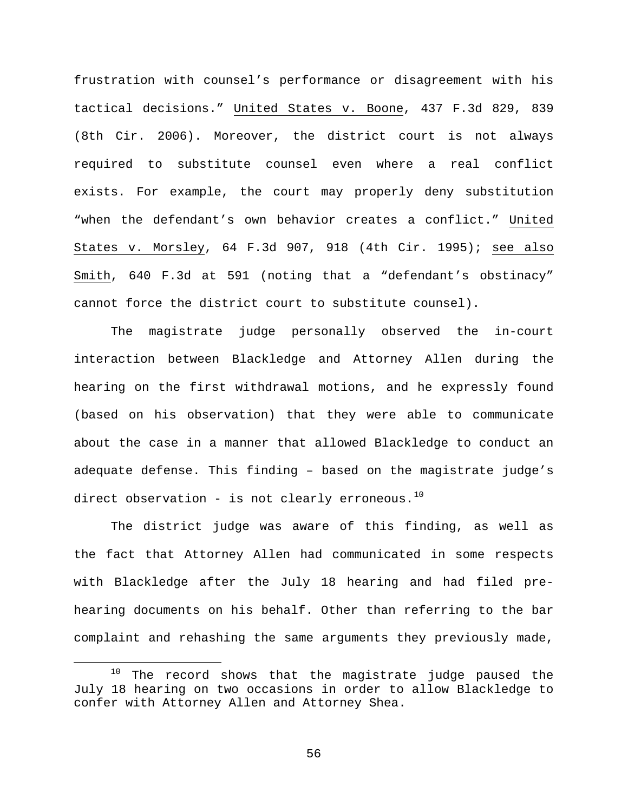frustration with counsel's performance or disagreement with his tactical decisions." United States v. Boone, 437 F.3d 829, 839 (8th Cir. 2006). Moreover, the district court is not always required to substitute counsel even where a real conflict exists. For example, the court may properly deny substitution "when the defendant's own behavior creates a conflict." United States v. Morsley, 64 F.3d 907, 918 (4th Cir. 1995); see also Smith, 640 F.3d at 591 (noting that a "defendant's obstinacy" cannot force the district court to substitute counsel).

The magistrate judge personally observed the in-court interaction between Blackledge and Attorney Allen during the hearing on the first withdrawal motions, and he expressly found (based on his observation) that they were able to communicate about the case in a manner that allowed Blackledge to conduct an adequate defense. This finding – based on the magistrate judge's direct observation - is not clearly erroneous.<sup>[10](#page-55-0)</sup>

The district judge was aware of this finding, as well as the fact that Attorney Allen had communicated in some respects with Blackledge after the July 18 hearing and had filed prehearing documents on his behalf. Other than referring to the bar complaint and rehashing the same arguments they previously made,

<span id="page-55-0"></span>The record shows that the magistrate judge paused the July 18 hearing on two occasions in order to allow Blackledge to confer with Attorney Allen and Attorney Shea.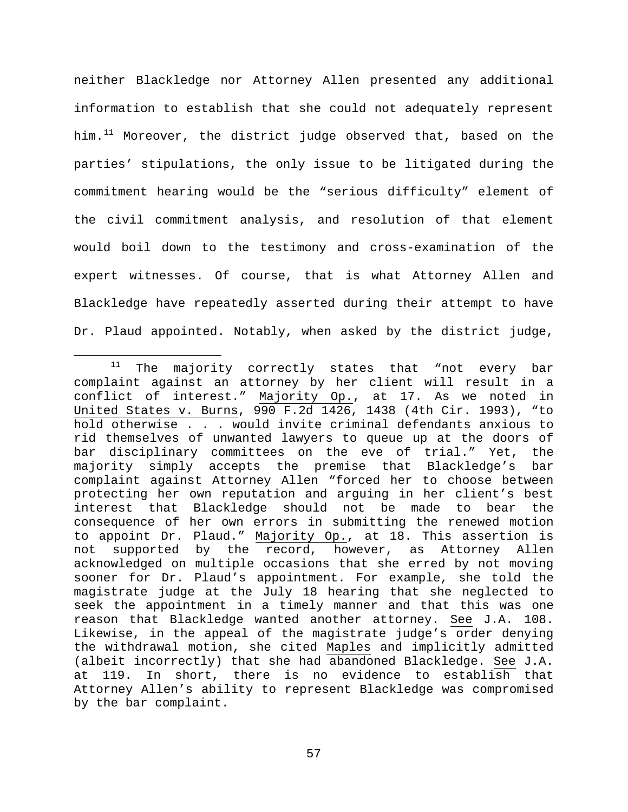neither Blackledge nor Attorney Allen presented any additional information to establish that she could not adequately represent him.<sup>[11](#page-56-0)</sup> Moreover, the district judge observed that, based on the parties' stipulations, the only issue to be litigated during the commitment hearing would be the "serious difficulty" element of the civil commitment analysis, and resolution of that element would boil down to the testimony and cross-examination of the expert witnesses. Of course, that is what Attorney Allen and Blackledge have repeatedly asserted during their attempt to have Dr. Plaud appointed. Notably, when asked by the district judge,

<span id="page-56-0"></span> $11$  The majority correctly states that "not every bar complaint against an attorney by her client will result in a conflict of interest." Majority Op., at 17. As we noted in United States v. Burns, 990 F.2d 1426, 1438 (4th Cir. 1993), "to hold otherwise . . . would invite criminal defendants anxious to rid themselves of unwanted lawyers to queue up at the doors of bar disciplinary committees on the eve of trial." Yet, the majority simply accepts the premise that Blackledge's bar complaint against Attorney Allen "forced her to choose between protecting her own reputation and arguing in her client's best interest that Blackledge should not be made to bear the consequence of her own errors in submitting the renewed motion to appoint Dr. Plaud." Majority Op., at 18. This assertion is not supported by the record, however, as Attorney Allen acknowledged on multiple occasions that she erred by not moving sooner for Dr. Plaud's appointment. For example, she told the magistrate judge at the July 18 hearing that she neglected to seek the appointment in a timely manner and that this was one reason that Blackledge wanted another attorney. See J.A. 108. Likewise, in the appeal of the magistrate judge's order denying the withdrawal motion, she cited Maples and implicitly admitted (albeit incorrectly) that she had abandoned Blackledge. See J.A. at 119. In short, there is no evidence to establish that Attorney Allen's ability to represent Blackledge was compromised by the bar complaint.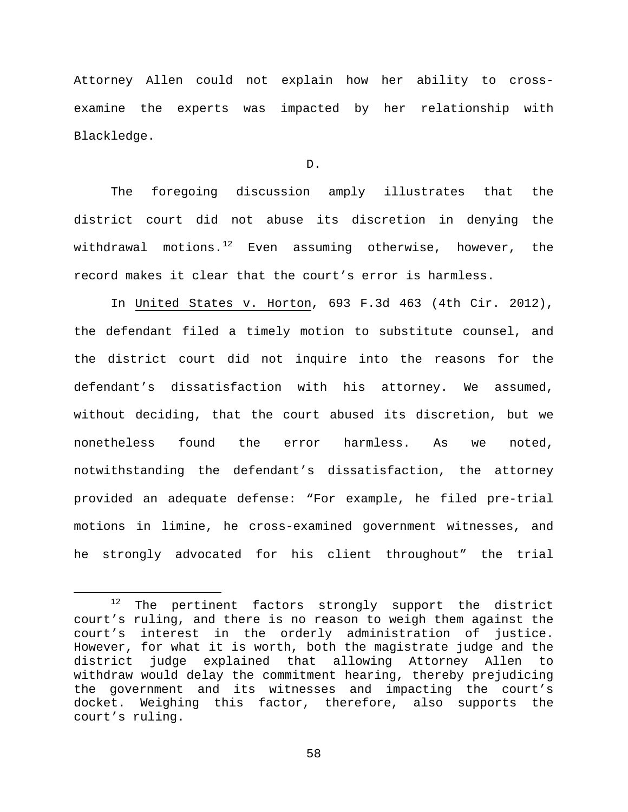Attorney Allen could not explain how her ability to crossexamine the experts was impacted by her relationship with Blackledge.

### D.

The foregoing discussion amply illustrates that the district court did not abuse its discretion in denying the withdrawal motions. $12$  Even assuming otherwise, however, the record makes it clear that the court's error is harmless.

In United States v. Horton, 693 F.3d 463 (4th Cir. 2012), the defendant filed a timely motion to substitute counsel, and the district court did not inquire into the reasons for the defendant's dissatisfaction with his attorney. We assumed, without deciding, that the court abused its discretion, but we nonetheless found the error harmless. As we noted, notwithstanding the defendant's dissatisfaction, the attorney provided an adequate defense: "For example, he filed pre-trial motions in limine, he cross-examined government witnesses, and he strongly advocated for his client throughout" the trial

<span id="page-57-0"></span><sup>&</sup>lt;sup>12</sup> The pertinent factors strongly support the district court's ruling, and there is no reason to weigh them against the court's interest in the orderly administration of justice. However, for what it is worth, both the magistrate judge and the district judge explained that allowing Attorney Allen to withdraw would delay the commitment hearing, thereby prejudicing the government and its witnesses and impacting the court's docket. Weighing this factor, therefore, also supports the court's ruling.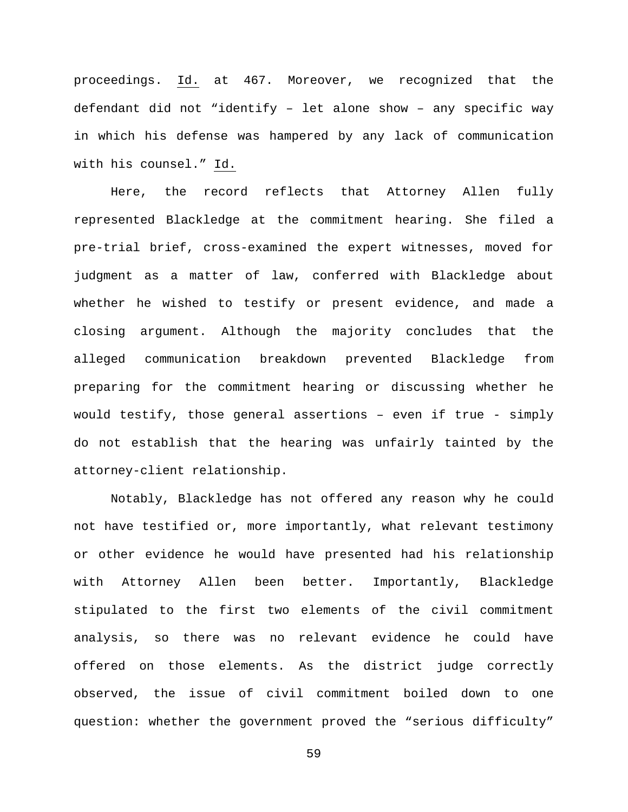proceedings. Id. at 467. Moreover, we recognized that the defendant did not "identify – let alone show – any specific way in which his defense was hampered by any lack of communication with his counsel." Id.

Here, the record reflects that Attorney Allen fully represented Blackledge at the commitment hearing. She filed a pre-trial brief, cross-examined the expert witnesses, moved for judgment as a matter of law, conferred with Blackledge about whether he wished to testify or present evidence, and made a closing argument. Although the majority concludes that the alleged communication breakdown prevented Blackledge from preparing for the commitment hearing or discussing whether he would testify, those general assertions – even if true - simply do not establish that the hearing was unfairly tainted by the attorney-client relationship.

Notably, Blackledge has not offered any reason why he could not have testified or, more importantly, what relevant testimony or other evidence he would have presented had his relationship with Attorney Allen been better. Importantly, Blackledge stipulated to the first two elements of the civil commitment analysis, so there was no relevant evidence he could have offered on those elements. As the district judge correctly observed, the issue of civil commitment boiled down to one question: whether the government proved the "serious difficulty"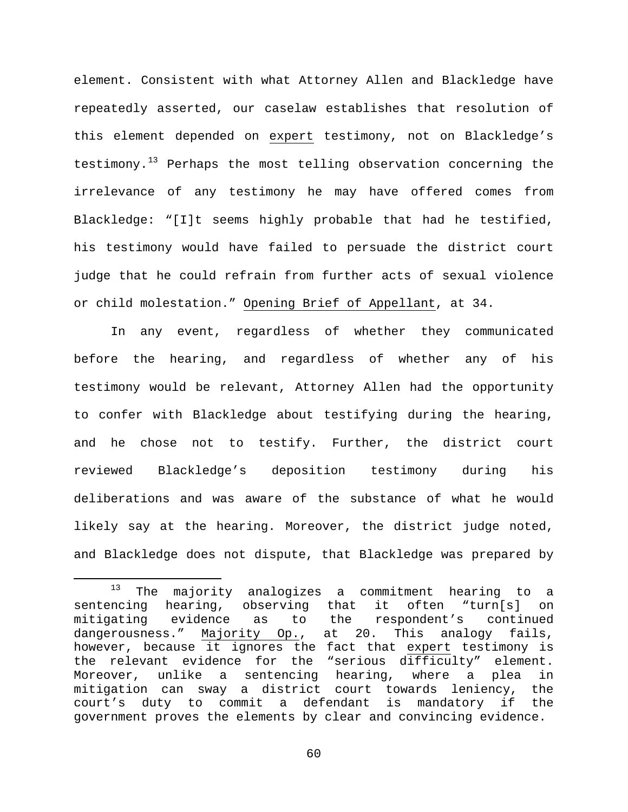element. Consistent with what Attorney Allen and Blackledge have repeatedly asserted, our caselaw establishes that resolution of this element depended on expert testimony, not on Blackledge's testimony. $13$  Perhaps the most telling observation concerning the irrelevance of any testimony he may have offered comes from Blackledge: "[I]t seems highly probable that had he testified, his testimony would have failed to persuade the district court judge that he could refrain from further acts of sexual violence or child molestation." Opening Brief of Appellant, at 34.

In any event, regardless of whether they communicated before the hearing, and regardless of whether any of his testimony would be relevant, Attorney Allen had the opportunity to confer with Blackledge about testifying during the hearing, and he chose not to testify. Further, the district court reviewed Blackledge's deposition testimony during his deliberations and was aware of the substance of what he would likely say at the hearing. Moreover, the district judge noted, and Blackledge does not dispute, that Blackledge was prepared by

<span id="page-59-0"></span> $13$  The majority analogizes a commitment hearing to a sentencing hearing, observing that it often "turn[s] on mitigating evidence as to the respondent's continued dangerousness." Majority Op., at 20. This analogy fails, however, because it ignores the fact that expert testimony is the relevant evidence for the "serious difficulty" element.<br>Moreover, unlike a sentencing hearing, where a plea in Moreover, unlike a sentencing hearing, where a plea in mitigation can sway a district court towards leniency, the court's duty to commit a defendant is mandatory if the government proves the elements by clear and convincing evidence.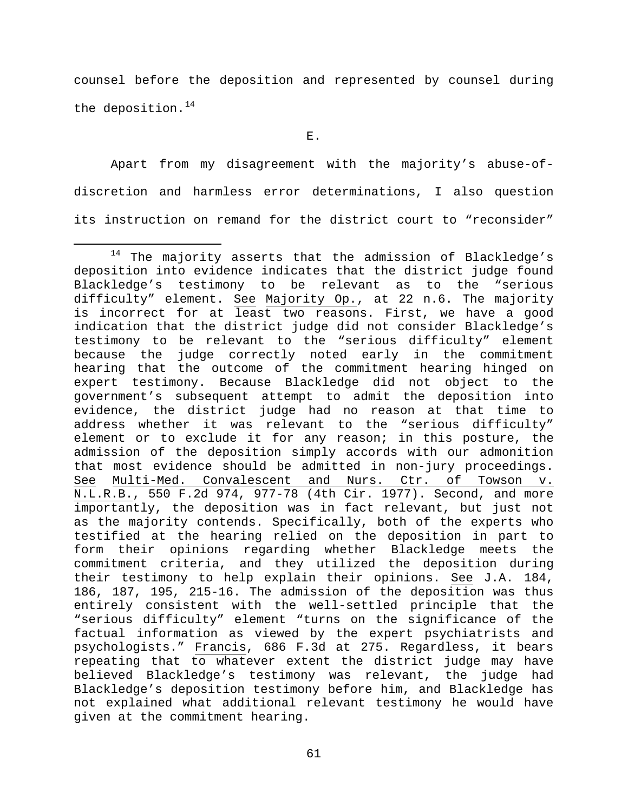counsel before the deposition and represented by counsel during the deposition.<sup>[14](#page-60-0)</sup>

E.

Apart from my disagreement with the majority's abuse-ofdiscretion and harmless error determinations, I also question its instruction on remand for the district court to "reconsider"

<span id="page-60-0"></span> $14$  The majority asserts that the admission of Blackledge's deposition into evidence indicates that the district judge found Blackledge's testimony to be relevant as to the "serious difficulty" element. See Majority Op., at 22 n.6. The majority is incorrect for at least two reasons. First, we have a good indication that the district judge did not consider Blackledge's testimony to be relevant to the "serious difficulty" element because the judge correctly noted early in the commitment hearing that the outcome of the commitment hearing hinged on expert testimony. Because Blackledge did not object to the government's subsequent attempt to admit the deposition into evidence, the district judge had no reason at that time to address whether it was relevant to the "serious difficulty" element or to exclude it for any reason; in this posture, the admission of the deposition simply accords with our admonition that most evidence should be admitted in non-jury proceedings. See Multi-Med. Convalescent and Nurs. Ctr. of Towson v. N.L.R.B., 550 F.2d 974, 977-78 (4th Cir. 1977). Second, and more importantly, the deposition was in fact relevant, but just not as the majority contends. Specifically, both of the experts who testified at the hearing relied on the deposition in part to form their opinions regarding whether Blackledge meets the commitment criteria, and they utilized the deposition during their testimony to help explain their opinions. See J.A. 184, 186, 187, 195, 215-16. The admission of the deposition was thus entirely consistent with the well-settled principle that the "serious difficulty" element "turns on the significance of the factual information as viewed by the expert psychiatrists and psychologists." Francis, 686 F.3d at 275. Regardless, it bears repeating that to whatever extent the district judge may have believed Blackledge's testimony was relevant, the judge had Blackledge's deposition testimony before him, and Blackledge has not explained what additional relevant testimony he would have given at the commitment hearing.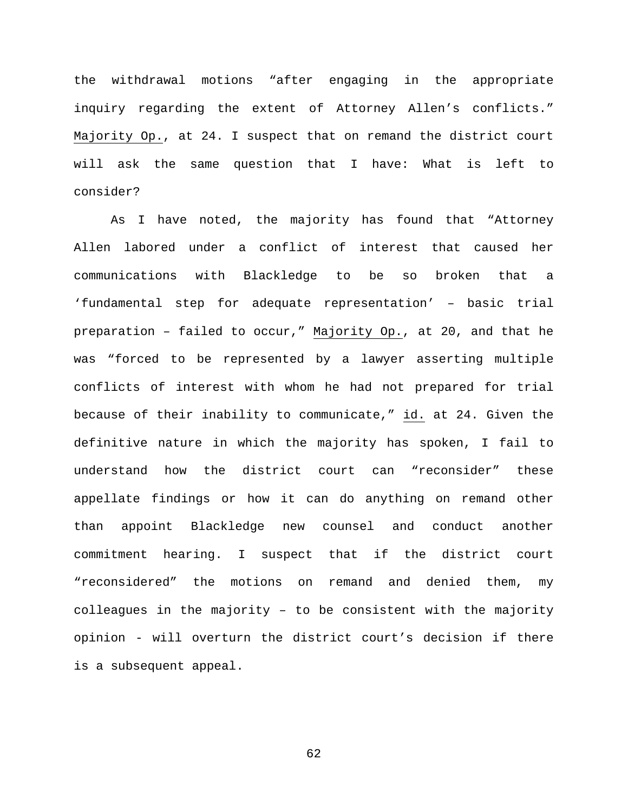the withdrawal motions "after engaging in the appropriate inquiry regarding the extent of Attorney Allen's conflicts." Majority Op., at 24. I suspect that on remand the district court will ask the same question that I have: What is left to consider?

As I have noted, the majority has found that "Attorney Allen labored under a conflict of interest that caused her communications with Blackledge to be so broken that a 'fundamental step for adequate representation' – basic trial preparation – failed to occur," Majority Op., at 20, and that he was "forced to be represented by a lawyer asserting multiple conflicts of interest with whom he had not prepared for trial because of their inability to communicate," id. at 24. Given the definitive nature in which the majority has spoken, I fail to understand how the district court can "reconsider" these appellate findings or how it can do anything on remand other than appoint Blackledge new counsel and conduct another commitment hearing. I suspect that if the district court "reconsidered" the motions on remand and denied them, my colleagues in the majority – to be consistent with the majority opinion - will overturn the district court's decision if there is a subsequent appeal.